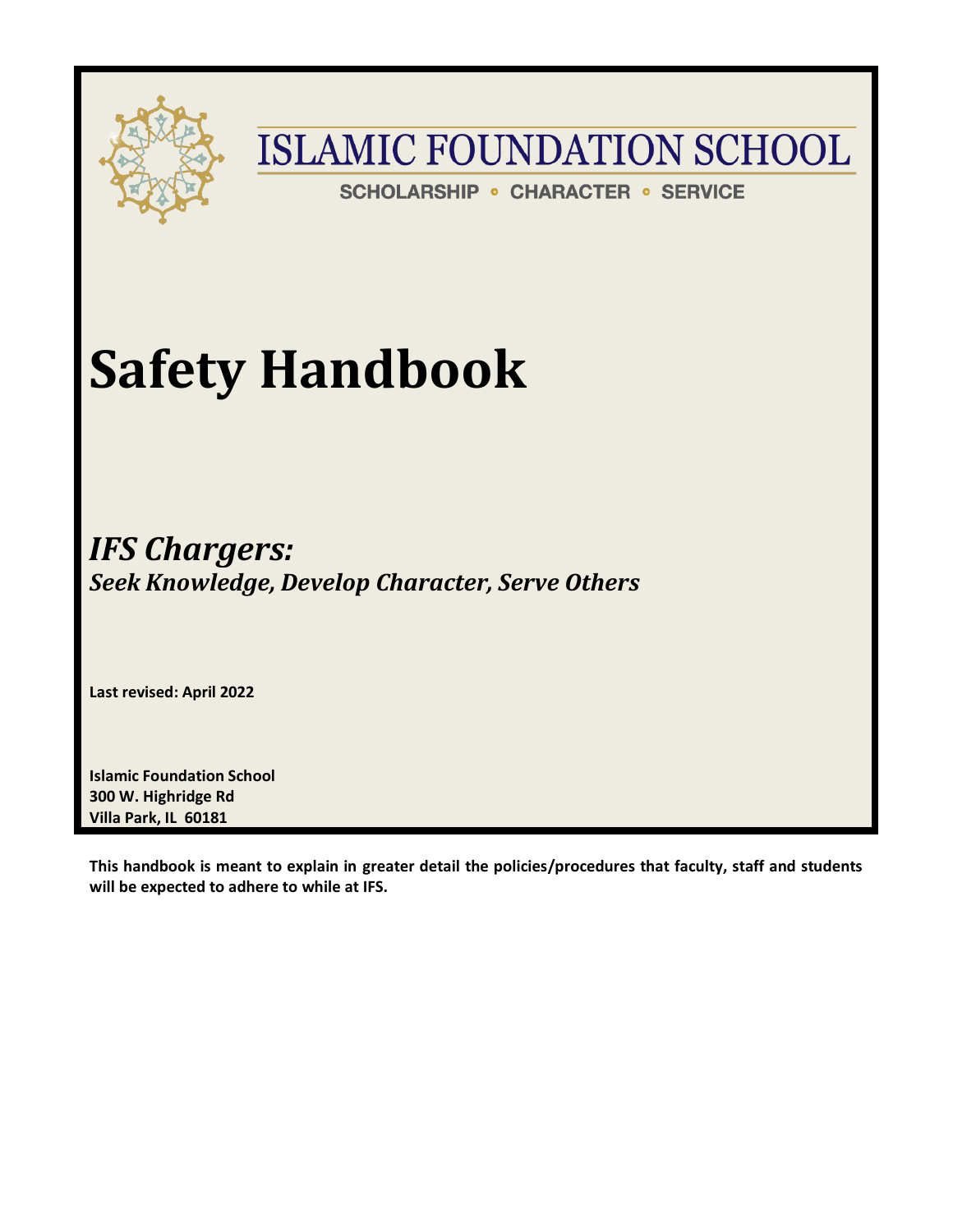

**SCHOLARSHIP • CHARACTER • SERVICE** 

# **Safety Handbook**

*IFS Chargers: Seek Knowledge, Develop Character, Serve Others*

**Last revised: April 2022**

**Islamic Foundation School 300 W. Highridge Rd Villa Park, IL 60181**

**This handbook is meant to explain in greater detail the policies/procedures that faculty, staff and students will be expected to adhere to while at IFS.**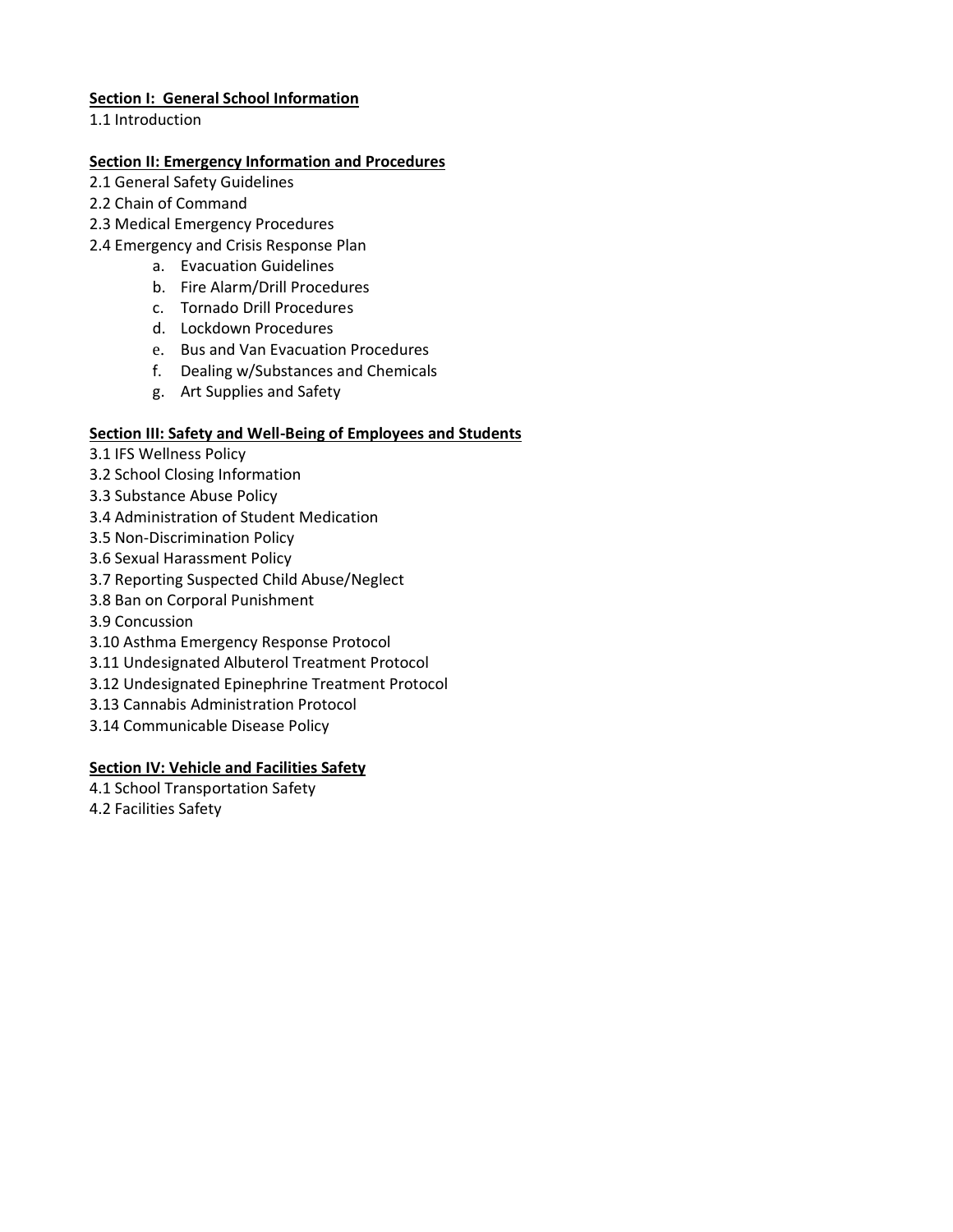## **Section I: General School Information**

1.1 Introduction

#### **Section II: Emergency Information and Procedures**

- 2.1 General Safety Guidelines
- 2.2 Chain of Command
- 2.3 Medical Emergency Procedures
- 2.4 Emergency and Crisis Response Plan
	- a. Evacuation Guidelines
	- b. Fire Alarm/Drill Procedures
	- c. Tornado Drill Procedures
	- d. Lockdown Procedures
	- e. Bus and Van Evacuation Procedures
	- f. Dealing w/Substances and Chemicals
	- g. Art Supplies and Safety

## **Section III: Safety and Well-Being of Employees and Students**

- 3.1 IFS Wellness Policy
- 3.2 School Closing Information
- 3.3 Substance Abuse Policy
- 3.4 Administration of Student Medication
- 3.5 Non-Discrimination Policy
- 3.6 Sexual Harassment Policy
- 3.7 Reporting Suspected Child Abuse/Neglect
- 3.8 Ban on Corporal Punishment
- 3.9 Concussion
- 3.10 Asthma Emergency Response Protocol
- 3.11 Undesignated Albuterol Treatment Protocol
- 3.12 Undesignated Epinephrine Treatment Protocol
- 3.13 Cannabis Administration Protocol
- 3.14 Communicable Disease Policy

#### **Section IV: Vehicle and Facilities Safety**

- 4.1 School Transportation Safety
- 4.2 Facilities Safety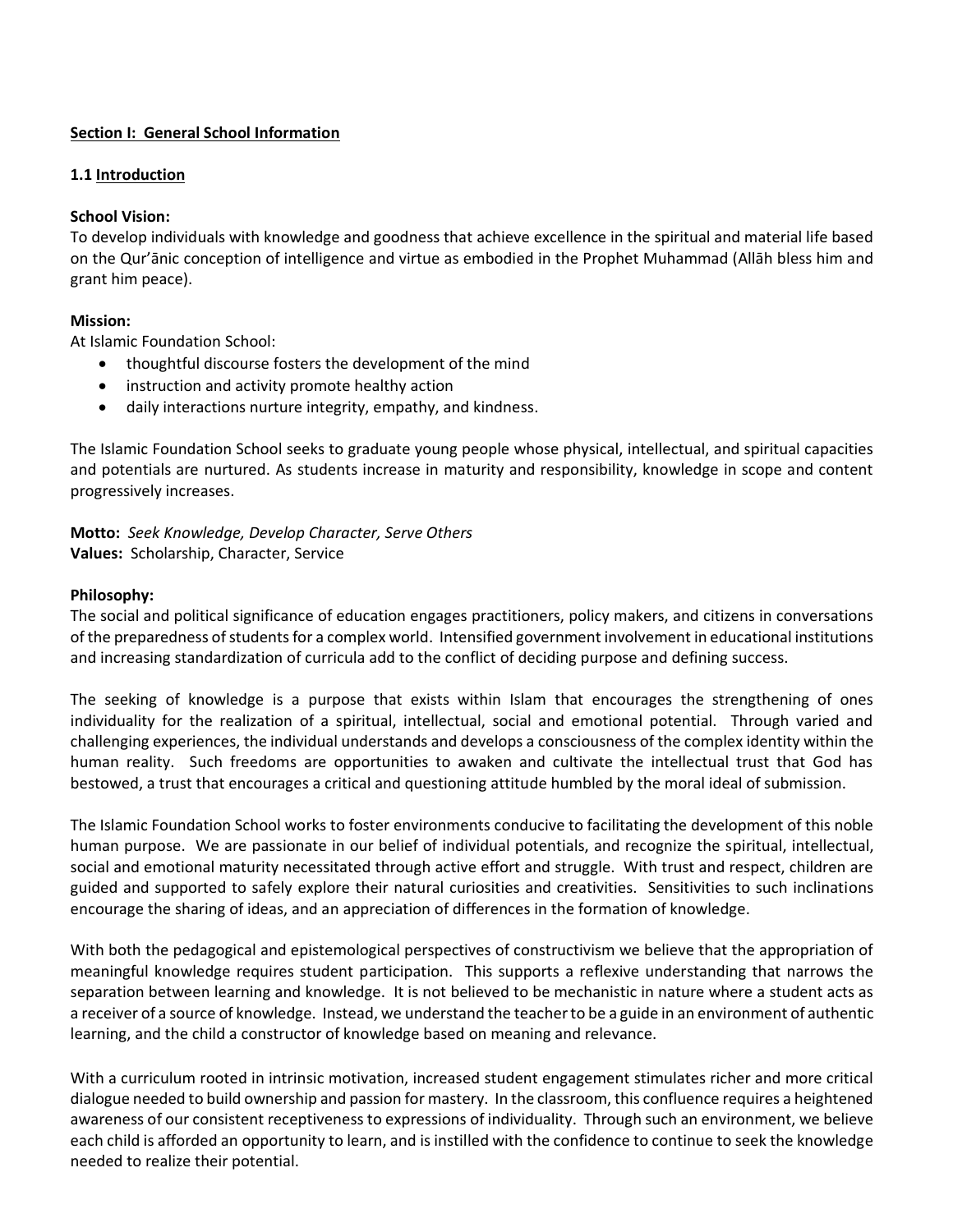## **Section I: General School Information**

#### **1.1 Introduction**

## **School Vision:**

To develop individuals with knowledge and goodness that achieve excellence in the spiritual and material life based on the Qur'ānic conception of intelligence and virtue as embodied in the Prophet Muhammad (Allāh bless him and grant him peace).

## **Mission:**

At Islamic Foundation School:

- thoughtful discourse fosters the development of the mind
- instruction and activity promote healthy action
- daily interactions nurture integrity, empathy, and kindness.

The Islamic Foundation School seeks to graduate young people whose physical, intellectual, and spiritual capacities and potentials are nurtured. As students increase in maturity and responsibility, knowledge in scope and content progressively increases.

**Motto:** *Seek Knowledge, Develop Character, Serve Others* **Values:** Scholarship, Character, Service

#### **Philosophy:**

The social and political significance of education engages practitioners, policy makers, and citizens in conversations of the preparedness of students for a complex world. Intensified government involvement in educational institutions and increasing standardization of curricula add to the conflict of deciding purpose and defining success.

The seeking of knowledge is a purpose that exists within Islam that encourages the strengthening of ones individuality for the realization of a spiritual, intellectual, social and emotional potential. Through varied and challenging experiences, the individual understands and develops a consciousness of the complex identity within the human reality. Such freedoms are opportunities to awaken and cultivate the intellectual trust that God has bestowed, a trust that encourages a critical and questioning attitude humbled by the moral ideal of submission.

The Islamic Foundation School works to foster environments conducive to facilitating the development of this noble human purpose. We are passionate in our belief of individual potentials, and recognize the spiritual, intellectual, social and emotional maturity necessitated through active effort and struggle. With trust and respect, children are guided and supported to safely explore their natural curiosities and creativities. Sensitivities to such inclinations encourage the sharing of ideas, and an appreciation of differences in the formation of knowledge.

With both the pedagogical and epistemological perspectives of constructivism we believe that the appropriation of meaningful knowledge requires student participation. This supports a reflexive understanding that narrows the separation between learning and knowledge. It is not believed to be mechanistic in nature where a student acts as a receiver of a source of knowledge. Instead, we understand the teacher to be a guide in an environment of authentic learning, and the child a constructor of knowledge based on meaning and relevance.

With a curriculum rooted in intrinsic motivation, increased student engagement stimulates richer and more critical dialogue needed to build ownership and passion for mastery. In the classroom, this confluence requires a heightened awareness of our consistent receptiveness to expressions of individuality. Through such an environment, we believe each child is afforded an opportunity to learn, and is instilled with the confidence to continue to seek the knowledge needed to realize their potential.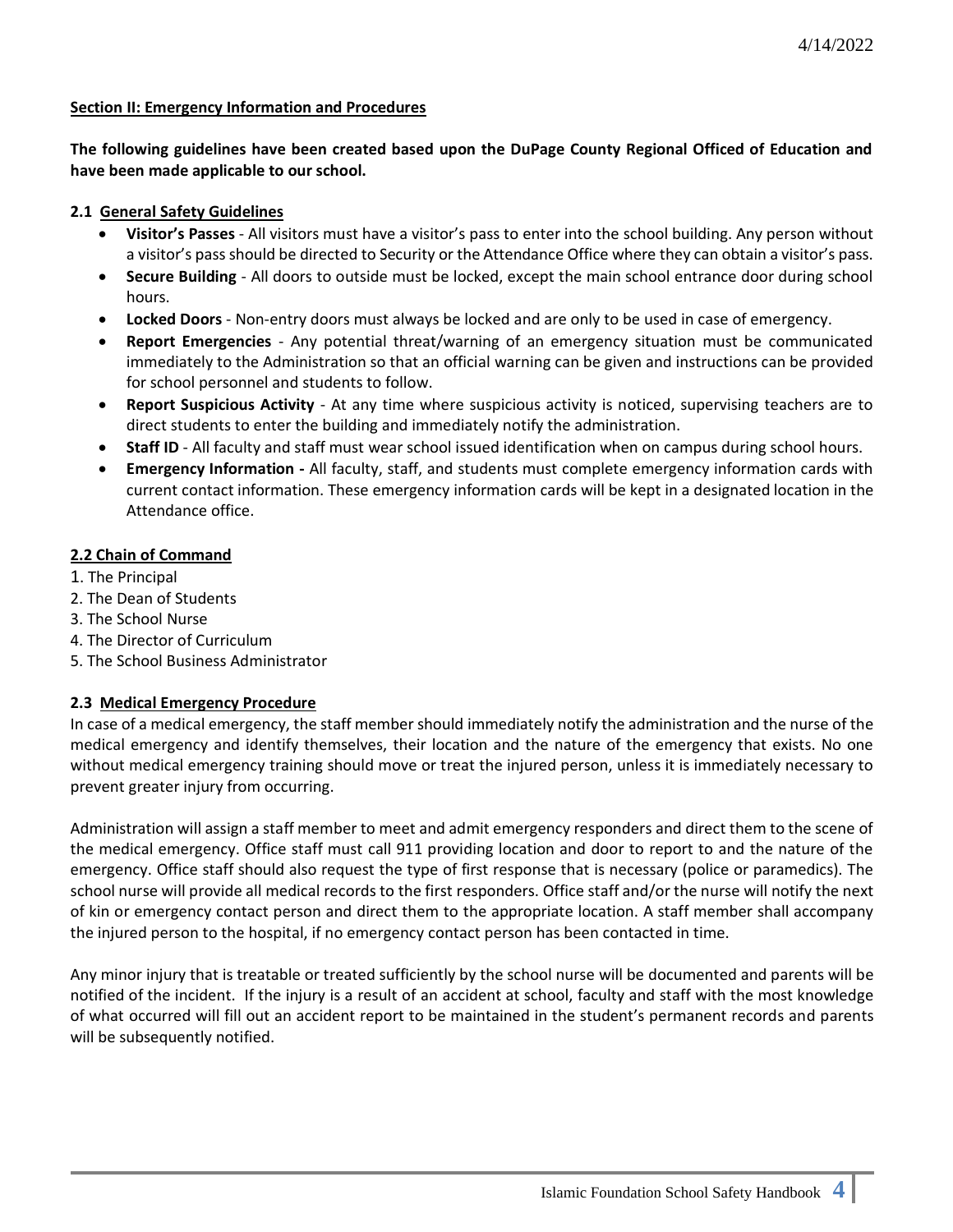#### **Section II: Emergency Information and Procedures**

**The following guidelines have been created based upon the DuPage County Regional Officed of Education and have been made applicable to our school.** 

## **2.1 General Safety Guidelines**

- **Visitor's Passes** All visitors must have a visitor's pass to enter into the school building. Any person without a visitor's pass should be directed to Security or the Attendance Office where they can obtain a visitor's pass.
- **Secure Building** All doors to outside must be locked, except the main school entrance door during school hours.
- **Locked Doors** Non-entry doors must always be locked and are only to be used in case of emergency.
- **Report Emergencies**  Any potential threat/warning of an emergency situation must be communicated immediately to the Administration so that an official warning can be given and instructions can be provided for school personnel and students to follow.
- **Report Suspicious Activity** At any time where suspicious activity is noticed, supervising teachers are to direct students to enter the building and immediately notify the administration.
- **Staff ID** All faculty and staff must wear school issued identification when on campus during school hours.
- **Emergency Information -** All faculty, staff, and students must complete emergency information cards with current contact information. These emergency information cards will be kept in a designated location in the Attendance office.

## **2.2 Chain of Command**

- 1. The Principal
- 2. The Dean of Students
- 3. The School Nurse
- 4. The Director of Curriculum
- 5. The School Business Administrator

## **2.3 Medical Emergency Procedure**

In case of a medical emergency, the staff member should immediately notify the administration and the nurse of the medical emergency and identify themselves, their location and the nature of the emergency that exists. No one without medical emergency training should move or treat the injured person, unless it is immediately necessary to prevent greater injury from occurring.

Administration will assign a staff member to meet and admit emergency responders and direct them to the scene of the medical emergency. Office staff must call 911 providing location and door to report to and the nature of the emergency. Office staff should also request the type of first response that is necessary (police or paramedics). The school nurse will provide all medical records to the first responders. Office staff and/or the nurse will notify the next of kin or emergency contact person and direct them to the appropriate location. A staff member shall accompany the injured person to the hospital, if no emergency contact person has been contacted in time.

Any minor injury that is treatable or treated sufficiently by the school nurse will be documented and parents will be notified of the incident. If the injury is a result of an accident at school, faculty and staff with the most knowledge of what occurred will fill out an accident report to be maintained in the student's permanent records and parents will be subsequently notified.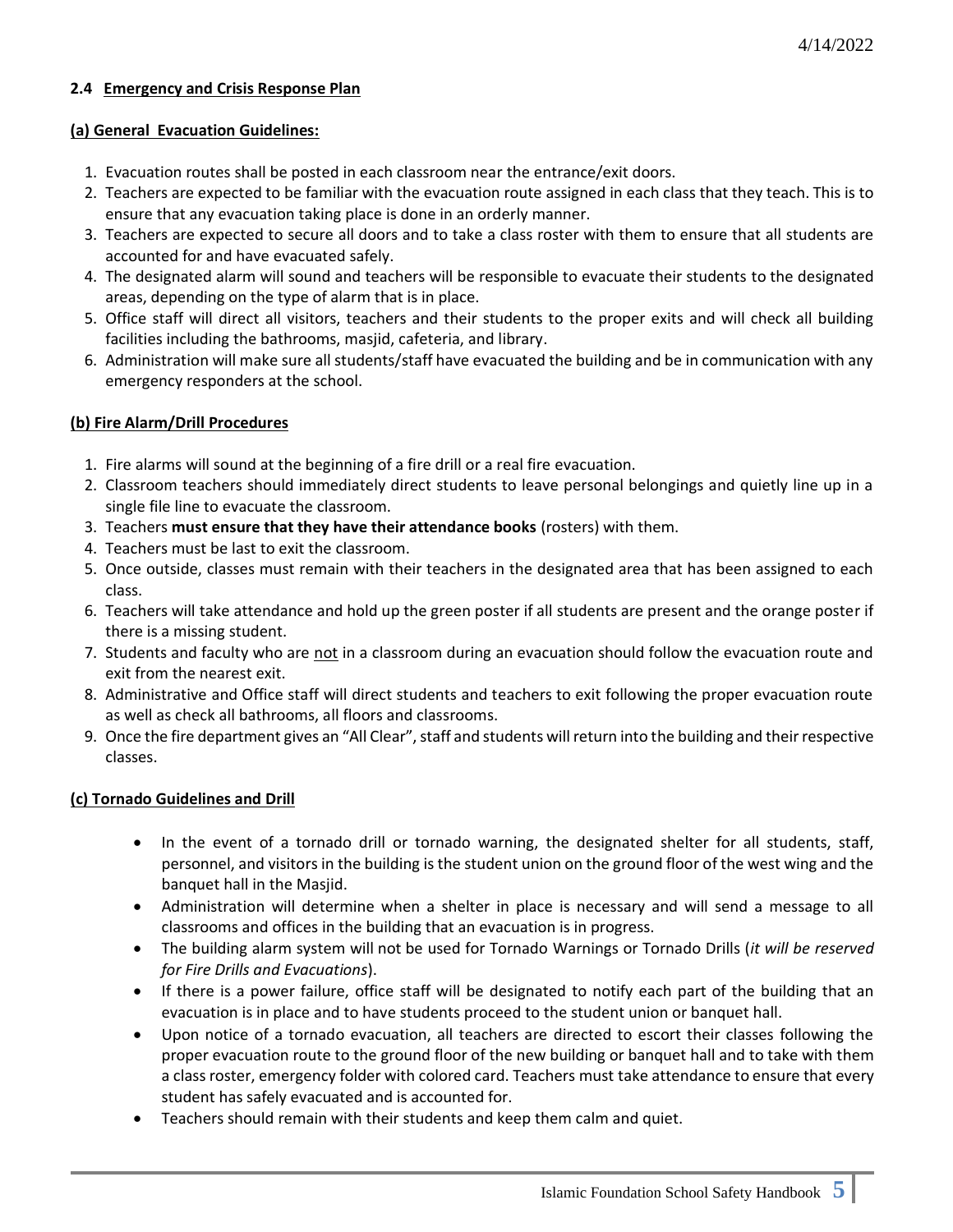## **2.4 Emergency and Crisis Response Plan**

#### **(a) General Evacuation Guidelines:**

- 1. Evacuation routes shall be posted in each classroom near the entrance/exit doors.
- 2. Teachers are expected to be familiar with the evacuation route assigned in each class that they teach. This is to ensure that any evacuation taking place is done in an orderly manner.
- 3. Teachers are expected to secure all doors and to take a class roster with them to ensure that all students are accounted for and have evacuated safely.
- 4. The designated alarm will sound and teachers will be responsible to evacuate their students to the designated areas, depending on the type of alarm that is in place.
- 5. Office staff will direct all visitors, teachers and their students to the proper exits and will check all building facilities including the bathrooms, masjid, cafeteria, and library.
- 6. Administration will make sure all students/staff have evacuated the building and be in communication with any emergency responders at the school.

## **(b) Fire Alarm/Drill Procedures**

- 1. Fire alarms will sound at the beginning of a fire drill or a real fire evacuation.
- 2. Classroom teachers should immediately direct students to leave personal belongings and quietly line up in a single file line to evacuate the classroom.
- 3. Teachers **must ensure that they have their attendance books** (rosters) with them.
- 4. Teachers must be last to exit the classroom.
- 5. Once outside, classes must remain with their teachers in the designated area that has been assigned to each class.
- 6. Teachers will take attendance and hold up the green poster if all students are present and the orange poster if there is a missing student.
- 7. Students and faculty who are not in a classroom during an evacuation should follow the evacuation route and exit from the nearest exit.
- 8. Administrative and Office staff will direct students and teachers to exit following the proper evacuation route as well as check all bathrooms, all floors and classrooms.
- 9. Once the fire department gives an "All Clear", staff and students will return into the building and their respective classes.

## **(c) Tornado Guidelines and Drill**

- In the event of a tornado drill or tornado warning, the designated shelter for all students, staff, personnel, and visitors in the building is the student union on the ground floor of the west wing and the banquet hall in the Masjid.
- Administration will determine when a shelter in place is necessary and will send a message to all classrooms and offices in the building that an evacuation is in progress.
- The building alarm system will not be used for Tornado Warnings or Tornado Drills (*it will be reserved for Fire Drills and Evacuations*).
- If there is a power failure, office staff will be designated to notify each part of the building that an evacuation is in place and to have students proceed to the student union or banquet hall.
- Upon notice of a tornado evacuation, all teachers are directed to escort their classes following the proper evacuation route to the ground floor of the new building or banquet hall and to take with them a class roster, emergency folder with colored card. Teachers must take attendance to ensure that every student has safely evacuated and is accounted for.
- Teachers should remain with their students and keep them calm and quiet.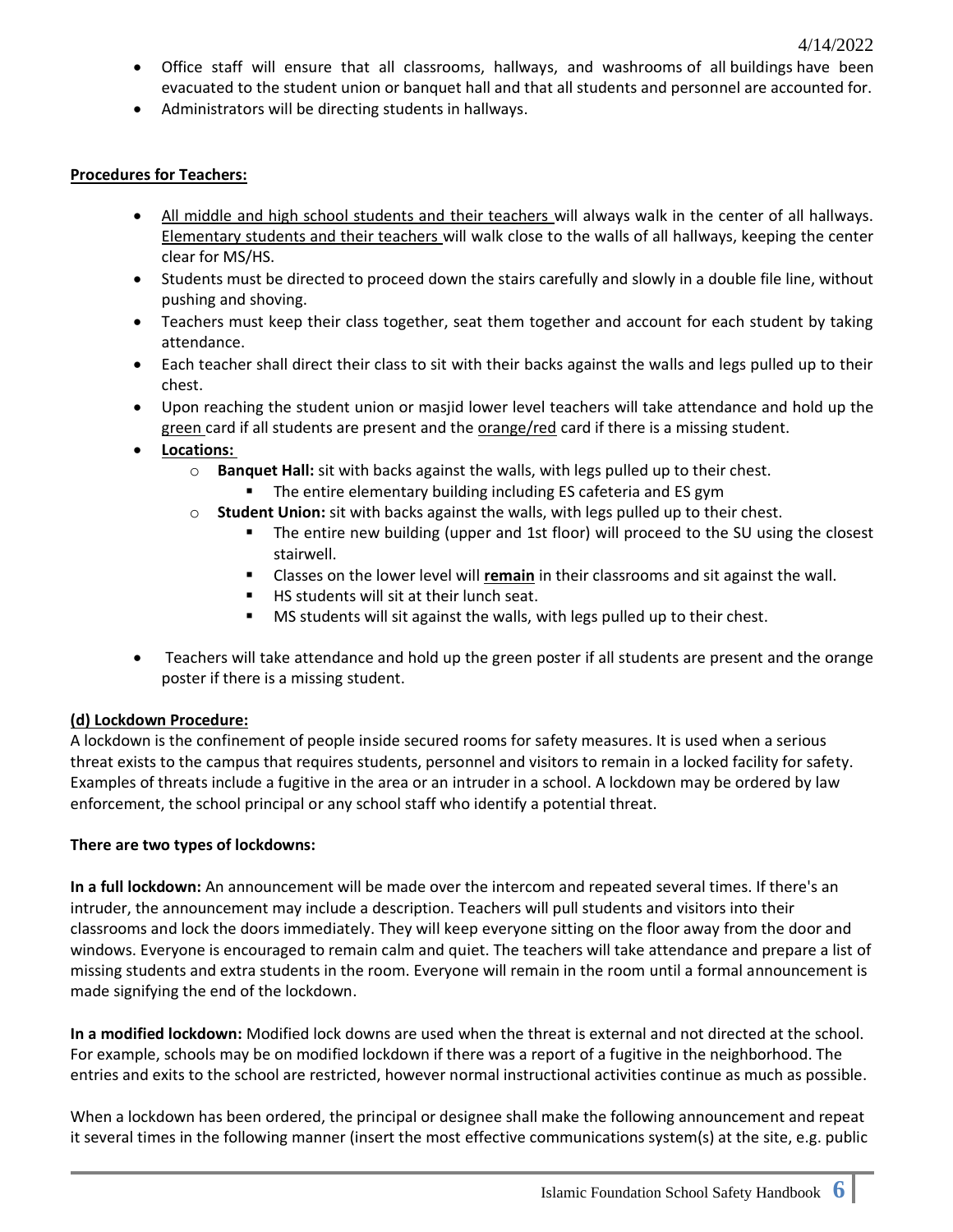- Office staff will ensure that all classrooms, hallways, and washrooms of all buildings have been evacuated to the student union or banquet hall and that all students and personnel are accounted for.
- Administrators will be directing students in hallways.

## **Procedures for Teachers:**

- All middle and high school students and their teachers will always walk in the center of all hallways. Elementary students and their teachers will walk close to the walls of all hallways, keeping the center clear for MS/HS.
- Students must be directed to proceed down the stairs carefully and slowly in a double file line, without pushing and shoving.
- Teachers must keep their class together, seat them together and account for each student by taking attendance.
- Each teacher shall direct their class to sit with their backs against the walls and legs pulled up to their chest.
- Upon reaching the student union or masjid lower level teachers will take attendance and hold up the green card if all students are present and the orange/red card if there is a missing student.
- **Locations:**
	- o **Banquet Hall:** sit with backs against the walls, with legs pulled up to their chest.
		- The entire elementary building including ES cafeteria and ES gym
	- o **Student Union:** sit with backs against the walls, with legs pulled up to their chest.
		- The entire new building (upper and 1st floor) will proceed to the SU using the closest stairwell.
		- **EXECT** Classes on the lower level will **remain** in their classrooms and sit against the wall.
		- HS students will sit at their lunch seat.
		- MS students will sit against the walls, with legs pulled up to their chest.
- Teachers will take attendance and hold up the green poster if all students are present and the orange poster if there is a missing student.

## **(d) Lockdown Procedure:**

A lockdown is the confinement of people inside secured rooms for safety measures. It is used when a serious threat exists to the campus that requires students, personnel and visitors to remain in a locked facility for safety. Examples of threats include a fugitive in the area or an intruder in a school. A lockdown may be ordered by law enforcement, the school principal or any school staff who identify a potential threat.

#### **There are two types of lockdowns:**

**In a full lockdown:** An announcement will be made over the intercom and repeated several times. If there's an intruder, the announcement may include a description. Teachers will pull students and visitors into their classrooms and lock the doors immediately. They will keep everyone sitting on the floor away from the door and windows. Everyone is encouraged to remain calm and quiet. The teachers will take attendance and prepare a list of missing students and extra students in the room. Everyone will remain in the room until a formal announcement is made signifying the end of the lockdown.

**In a modified lockdown:** Modified lock downs are used when the threat is external and not directed at the school. For example, schools may be on modified lockdown if there was a report of a fugitive in the neighborhood. The entries and exits to the school are restricted, however normal instructional activities continue as much as possible.

When a lockdown has been ordered, the principal or designee shall make the following announcement and repeat it several times in the following manner (insert the most effective communications system(s) at the site, e.g. public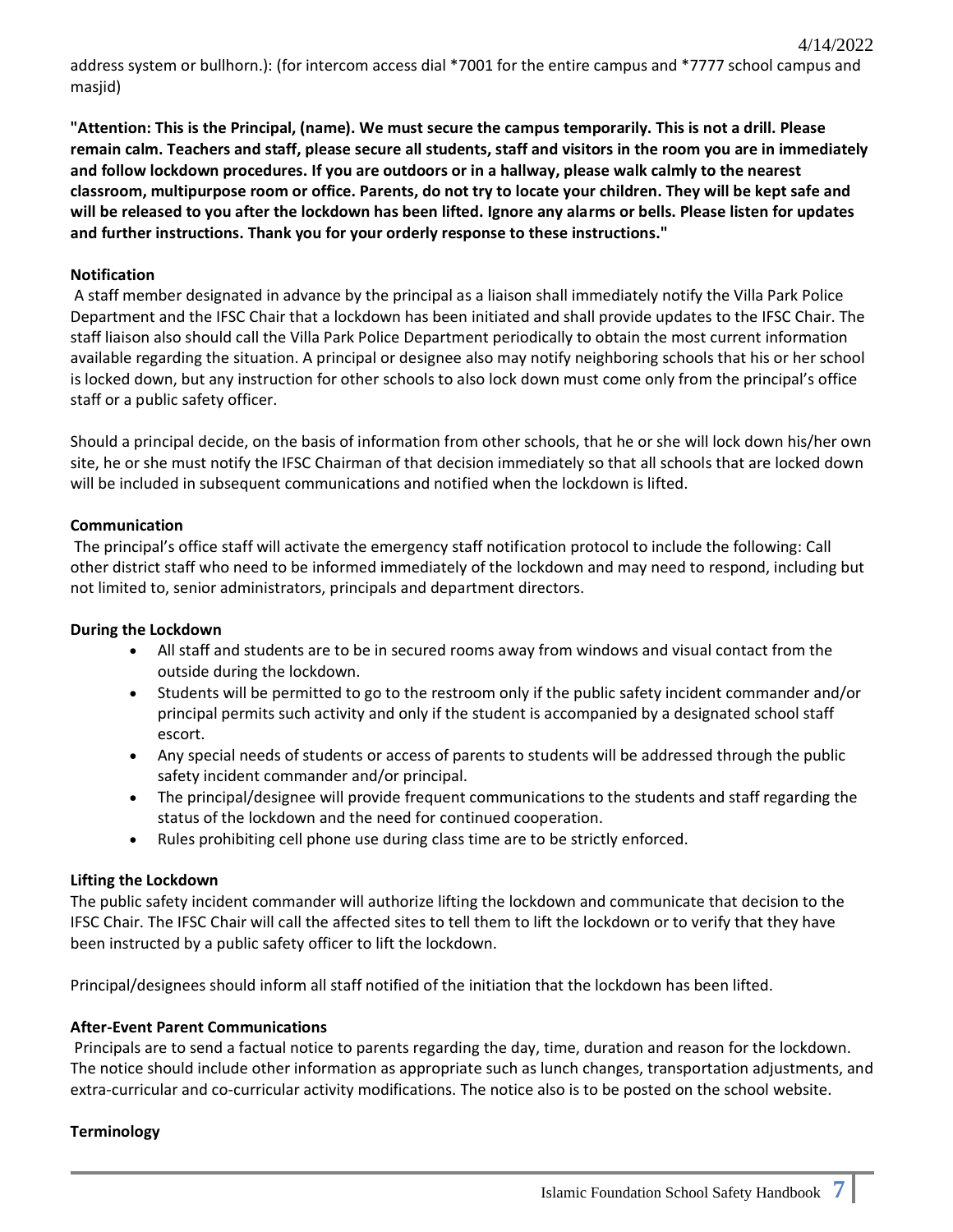address system or bullhorn.): (for intercom access dial \*7001 for the entire campus and \*7777 school campus and masjid)

4/14/2022

**"Attention: This is the Principal, (name). We must secure the campus temporarily. This is not a drill. Please remain calm. Teachers and staff, please secure all students, staff and visitors in the room you are in immediately and follow lockdown procedures. If you are outdoors or in a hallway, please walk calmly to the nearest classroom, multipurpose room or office. Parents, do not try to locate your children. They will be kept safe and will be released to you after the lockdown has been lifted. Ignore any alarms or bells. Please listen for updates and further instructions. Thank you for your orderly response to these instructions."**

## **Notification**

A staff member designated in advance by the principal as a liaison shall immediately notify the Villa Park Police Department and the IFSC Chair that a lockdown has been initiated and shall provide updates to the IFSC Chair. The staff liaison also should call the Villa Park Police Department periodically to obtain the most current information available regarding the situation. A principal or designee also may notify neighboring schools that his or her school is locked down, but any instruction for other schools to also lock down must come only from the principal's office staff or a public safety officer.

Should a principal decide, on the basis of information from other schools, that he or she will lock down his/her own site, he or she must notify the IFSC Chairman of that decision immediately so that all schools that are locked down will be included in subsequent communications and notified when the lockdown is lifted.

## **Communication**

The principal's office staff will activate the emergency staff notification protocol to include the following: Call other district staff who need to be informed immediately of the lockdown and may need to respond, including but not limited to, senior administrators, principals and department directors.

#### **During the Lockdown**

- All staff and students are to be in secured rooms away from windows and visual contact from the outside during the lockdown.
- Students will be permitted to go to the restroom only if the public safety incident commander and/or principal permits such activity and only if the student is accompanied by a designated school staff escort.
- Any special needs of students or access of parents to students will be addressed through the public safety incident commander and/or principal.
- The principal/designee will provide frequent communications to the students and staff regarding the status of the lockdown and the need for continued cooperation.
- Rules prohibiting cell phone use during class time are to be strictly enforced.

## **Lifting the Lockdown**

The public safety incident commander will authorize lifting the lockdown and communicate that decision to the IFSC Chair. The IFSC Chair will call the affected sites to tell them to lift the lockdown or to verify that they have been instructed by a public safety officer to lift the lockdown.

Principal/designees should inform all staff notified of the initiation that the lockdown has been lifted.

#### **After-Event Parent Communications**

Principals are to send a factual notice to parents regarding the day, time, duration and reason for the lockdown. The notice should include other information as appropriate such as lunch changes, transportation adjustments, and extra-curricular and co-curricular activity modifications. The notice also is to be posted on the school website.

#### **Terminology**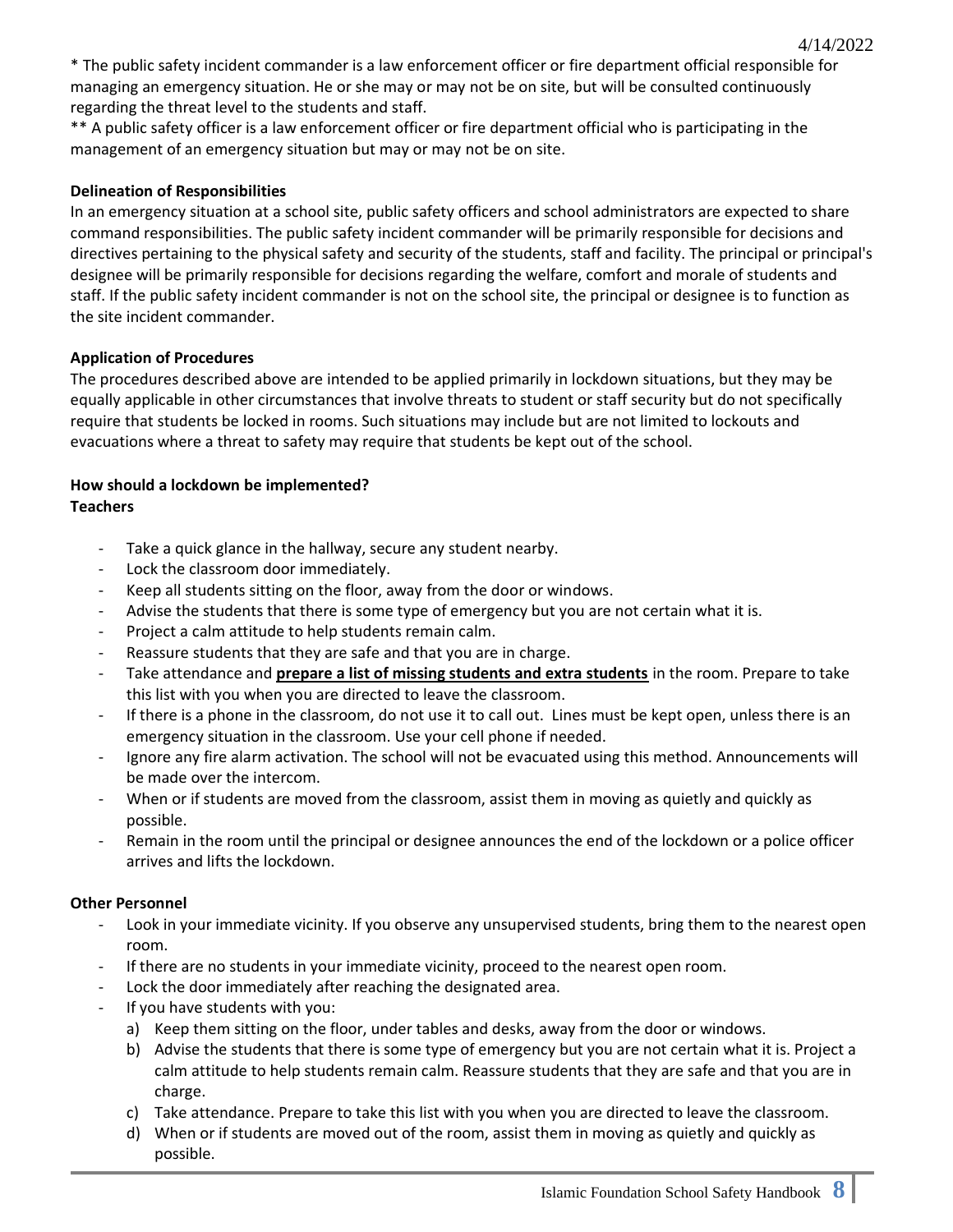\* The public safety incident commander is a law enforcement officer or fire department official responsible for managing an emergency situation. He or she may or may not be on site, but will be consulted continuously regarding the threat level to the students and staff.

\*\* A public safety officer is a law enforcement officer or fire department official who is participating in the management of an emergency situation but may or may not be on site.

## **Delineation of Responsibilities**

In an emergency situation at a school site, public safety officers and school administrators are expected to share command responsibilities. The public safety incident commander will be primarily responsible for decisions and directives pertaining to the physical safety and security of the students, staff and facility. The principal or principal's designee will be primarily responsible for decisions regarding the welfare, comfort and morale of students and staff. If the public safety incident commander is not on the school site, the principal or designee is to function as the site incident commander.

## **Application of Procedures**

The procedures described above are intended to be applied primarily in lockdown situations, but they may be equally applicable in other circumstances that involve threats to student or staff security but do not specifically require that students be locked in rooms. Such situations may include but are not limited to lockouts and evacuations where a threat to safety may require that students be kept out of the school.

#### **How should a lockdown be implemented? Teachers**

- Take a quick glance in the hallway, secure any student nearby.
- Lock the classroom door immediately.
- Keep all students sitting on the floor, away from the door or windows.
- Advise the students that there is some type of emergency but you are not certain what it is.
- Project a calm attitude to help students remain calm.
- Reassure students that they are safe and that you are in charge.
- Take attendance and **prepare a list of missing students and extra students** in the room. Prepare to take this list with you when you are directed to leave the classroom.
- If there is a phone in the classroom, do not use it to call out. Lines must be kept open, unless there is an emergency situation in the classroom. Use your cell phone if needed.
- Ignore any fire alarm activation. The school will not be evacuated using this method. Announcements will be made over the intercom.
- When or if students are moved from the classroom, assist them in moving as quietly and quickly as possible.
- Remain in the room until the principal or designee announces the end of the lockdown or a police officer arrives and lifts the lockdown.

#### **Other Personnel**

- Look in your immediate vicinity. If you observe any unsupervised students, bring them to the nearest open room.
- If there are no students in your immediate vicinity, proceed to the nearest open room.
- Lock the door immediately after reaching the designated area.
- If you have students with you:
	- a) Keep them sitting on the floor, under tables and desks, away from the door or windows.
	- b) Advise the students that there is some type of emergency but you are not certain what it is. Project a calm attitude to help students remain calm. Reassure students that they are safe and that you are in charge.
	- c) Take attendance. Prepare to take this list with you when you are directed to leave the classroom.
	- d) When or if students are moved out of the room, assist them in moving as quietly and quickly as possible.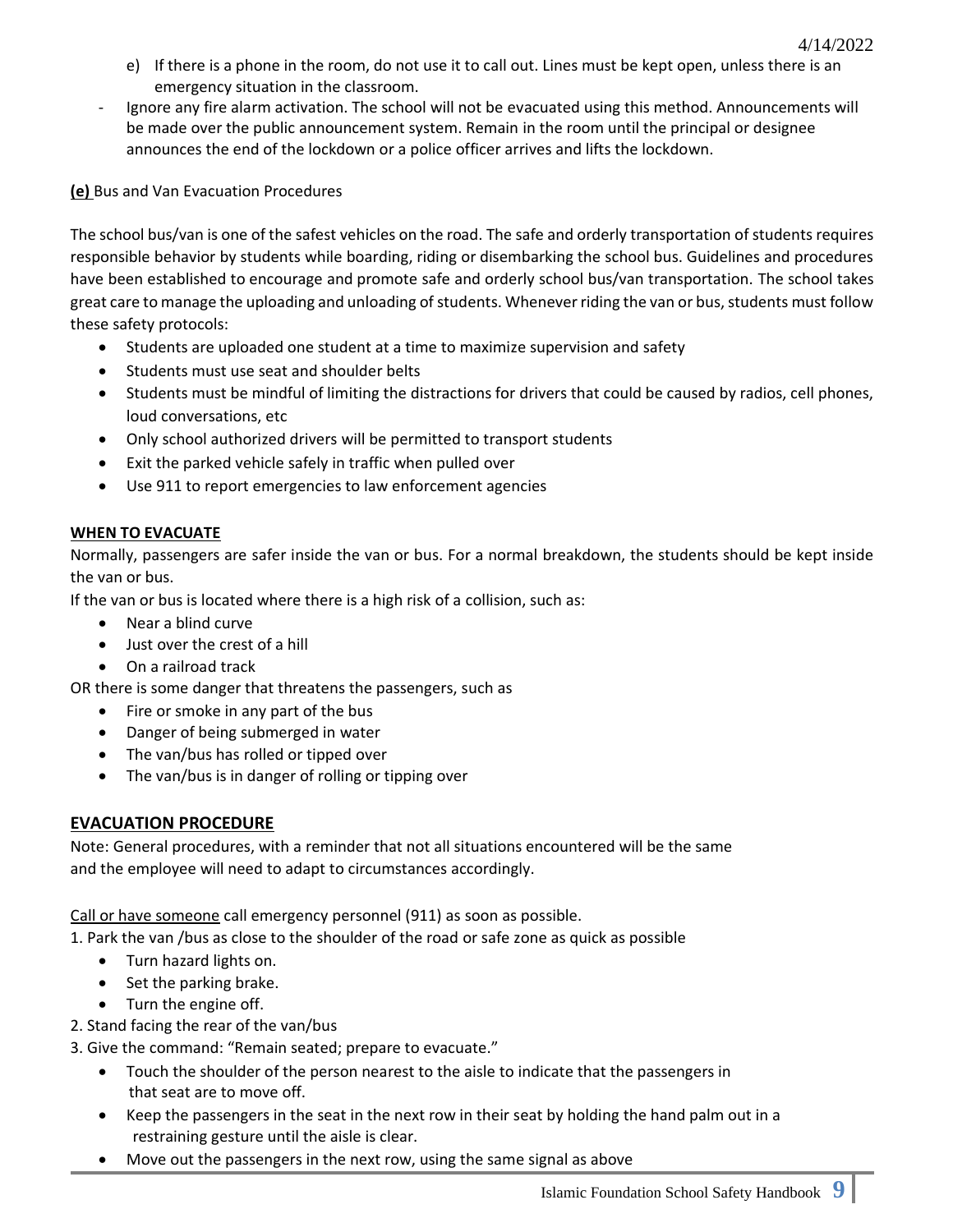- e) If there is a phone in the room, do not use it to call out. Lines must be kept open, unless there is an emergency situation in the classroom.
- Ignore any fire alarm activation. The school will not be evacuated using this method. Announcements will be made over the public announcement system. Remain in the room until the principal or designee announces the end of the lockdown or a police officer arrives and lifts the lockdown.

**(e)** Bus and Van Evacuation Procedures

The school bus/van is one of the safest vehicles on the road. The safe and orderly transportation of students requires responsible behavior by students while boarding, riding or disembarking the school bus. Guidelines and procedures have been established to encourage and promote safe and orderly school bus/van transportation. The school takes great care to manage the uploading and unloading of students. Whenever riding the van or bus, students must follow these safety protocols:

- Students are uploaded one student at a time to maximize supervision and safety
- Students must use seat and shoulder belts
- Students must be mindful of limiting the distractions for drivers that could be caused by radios, cell phones, loud conversations, etc
- Only school authorized drivers will be permitted to transport students
- Exit the parked vehicle safely in traffic when pulled over
- Use 911 to report emergencies to law enforcement agencies

# **WHEN TO EVACUATE**

Normally, passengers are safer inside the van or bus. For a normal breakdown, the students should be kept inside the van or bus.

If the van or bus is located where there is a high risk of a collision, such as:

- Near a blind curve
- Just over the crest of a hill
- On a railroad track

OR there is some danger that threatens the passengers, such as

- Fire or smoke in any part of the bus
- Danger of being submerged in water
- The van/bus has rolled or tipped over
- The van/bus is in danger of rolling or tipping over

# **EVACUATION PROCEDURE**

Note: General procedures, with a reminder that not all situations encountered will be the same and the employee will need to adapt to circumstances accordingly.

Call or have someone call emergency personnel (911) as soon as possible.

1. Park the van /bus as close to the shoulder of the road or safe zone as quick as possible

- Turn hazard lights on.
- Set the parking brake.
- Turn the engine off.
- 2. Stand facing the rear of the van/bus

3. Give the command: "Remain seated; prepare to evacuate."

- Touch the shoulder of the person nearest to the aisle to indicate that the passengers in that seat are to move off.
- Keep the passengers in the seat in the next row in their seat by holding the hand palm out in a restraining gesture until the aisle is clear.
- Move out the passengers in the next row, using the same signal as above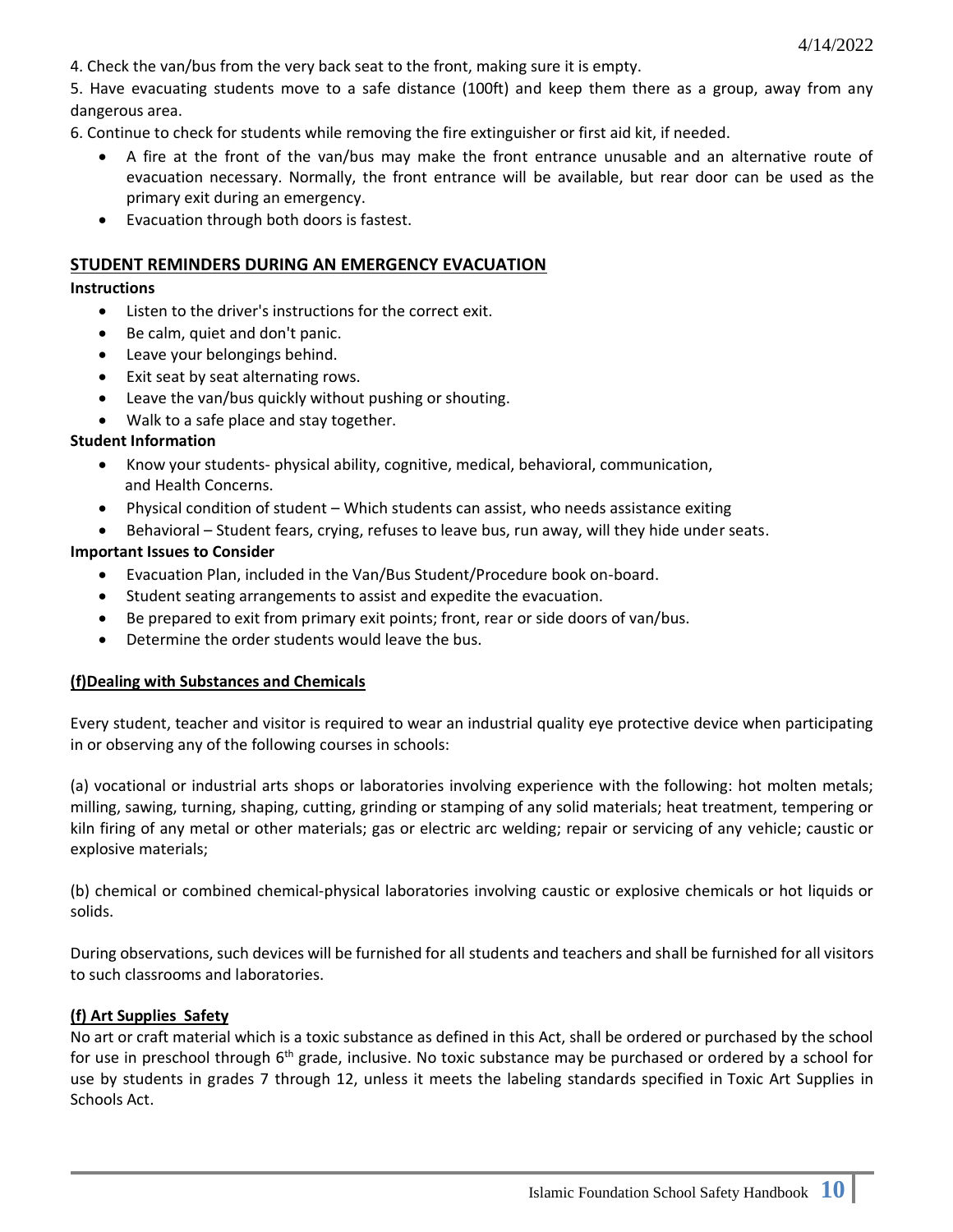4. Check the van/bus from the very back seat to the front, making sure it is empty.

5. Have evacuating students move to a safe distance (100ft) and keep them there as a group, away from any dangerous area.

6. Continue to check for students while removing the fire extinguisher or first aid kit, if needed.

- A fire at the front of the van/bus may make the front entrance unusable and an alternative route of evacuation necessary. Normally, the front entrance will be available, but rear door can be used as the primary exit during an emergency.
- Evacuation through both doors is fastest.

#### **STUDENT REMINDERS DURING AN EMERGENCY EVACUATION**

#### **Instructions**

- Listen to the driver's instructions for the correct exit.
- Be calm, quiet and don't panic.
- Leave your belongings behind.
- Exit seat by seat alternating rows.
- Leave the van/bus quickly without pushing or shouting.
- Walk to a safe place and stay together.

## **Student Information**

- Know your students- physical ability, cognitive, medical, behavioral, communication, and Health Concerns.
- Physical condition of student Which students can assist, who needs assistance exiting
- Behavioral Student fears, crying, refuses to leave bus, run away, will they hide under seats.

#### **Important Issues to Consider**

- Evacuation Plan, included in the Van/Bus Student/Procedure book on-board.
- Student seating arrangements to assist and expedite the evacuation.
- Be prepared to exit from primary exit points; front, rear or side doors of van/bus.
- Determine the order students would leave the bus.

#### **(f)Dealing with Substances and Chemicals**

Every student, teacher and visitor is required to wear an industrial quality eye protective device when participating in or observing any of the following courses in schools:

(a) vocational or industrial arts shops or laboratories involving experience with the following: hot molten metals; milling, sawing, turning, shaping, cutting, grinding or stamping of any solid materials; heat treatment, tempering or kiln firing of any metal or other materials; gas or electric arc welding; repair or servicing of any vehicle; caustic or explosive materials;

(b) chemical or combined chemical-physical laboratories involving caustic or explosive chemicals or hot liquids or solids.

During observations, such devices will be furnished for all students and teachers and shall be furnished for all visitors to such classrooms and laboratories.

#### **(f) Art Supplies Safety**

No art or craft material which is a toxic substance as defined in this Act, shall be ordered or purchased by the school for use in preschool through 6<sup>th</sup> grade, inclusive. No toxic substance may be purchased or ordered by a school for use by students in grades 7 through 12, unless it meets the labeling standards specified in Toxic Art Supplies in Schools Act.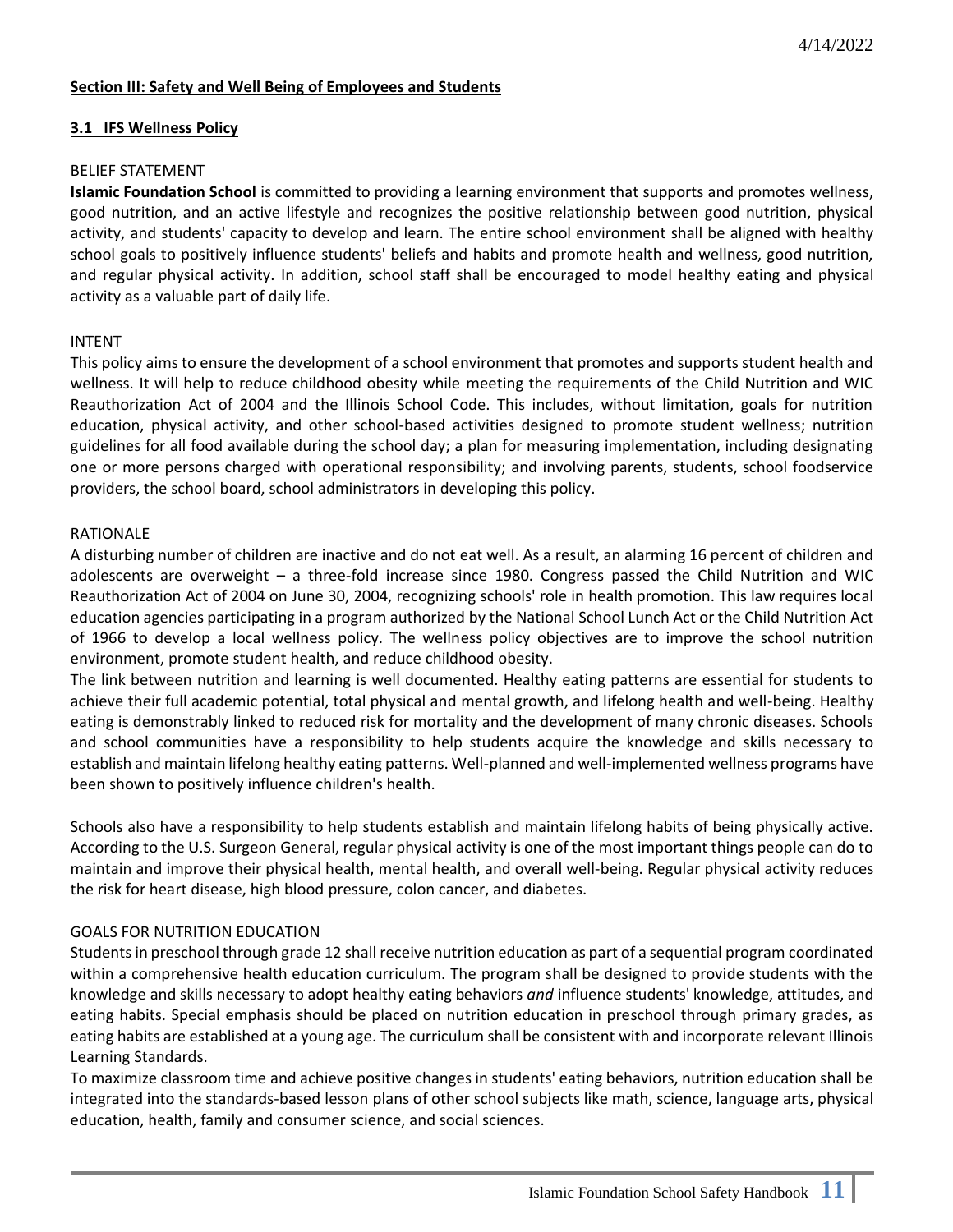## **Section III: Safety and Well Being of Employees and Students**

#### **3.1 IFS Wellness Policy**

#### BELIEF STATEMENT

**Islamic Foundation School** is committed to providing a learning environment that supports and promotes wellness, good nutrition, and an active lifestyle and recognizes the positive relationship between good nutrition, physical activity, and students' capacity to develop and learn. The entire school environment shall be aligned with healthy school goals to positively influence students' beliefs and habits and promote health and wellness, good nutrition, and regular physical activity. In addition, school staff shall be encouraged to model healthy eating and physical activity as a valuable part of daily life.

## INTENT

This policy aims to ensure the development of a school environment that promotes and supports student health and wellness. It will help to reduce childhood obesity while meeting the requirements of the Child Nutrition and WIC Reauthorization Act of 2004 and the Illinois School Code. This includes, without limitation, goals for nutrition education, physical activity, and other school-based activities designed to promote student wellness; nutrition guidelines for all food available during the school day; a plan for measuring implementation, including designating one or more persons charged with operational responsibility; and involving parents, students, school foodservice providers, the school board, school administrators in developing this policy.

## RATIONALE

A disturbing number of children are inactive and do not eat well. As a result, an alarming 16 percent of children and adolescents are overweight – a three-fold increase since 1980. Congress passed the Child Nutrition and WIC Reauthorization Act of 2004 on June 30, 2004, recognizing schools' role in health promotion. This law requires local education agencies participating in a program authorized by the National School Lunch Act or the Child Nutrition Act of 1966 to develop a local wellness policy. The wellness policy objectives are to improve the school nutrition environment, promote student health, and reduce childhood obesity.

The link between nutrition and learning is well documented. Healthy eating patterns are essential for students to achieve their full academic potential, total physical and mental growth, and lifelong health and well-being. Healthy eating is demonstrably linked to reduced risk for mortality and the development of many chronic diseases. Schools and school communities have a responsibility to help students acquire the knowledge and skills necessary to establish and maintain lifelong healthy eating patterns. Well-planned and well-implemented wellness programs have been shown to positively influence children's health.

Schools also have a responsibility to help students establish and maintain lifelong habits of being physically active. According to the U.S. Surgeon General, regular physical activity is one of the most important things people can do to maintain and improve their physical health, mental health, and overall well-being. Regular physical activity reduces the risk for heart disease, high blood pressure, colon cancer, and diabetes.

## GOALS FOR NUTRITION EDUCATION

Students in preschool through grade 12 shall receive nutrition education as part of a sequential program coordinated within a comprehensive health education curriculum. The program shall be designed to provide students with the knowledge and skills necessary to adopt healthy eating behaviors *and* influence students' knowledge, attitudes, and eating habits. Special emphasis should be placed on nutrition education in preschool through primary grades, as eating habits are established at a young age. The curriculum shall be consistent with and incorporate relevant Illinois Learning Standards.

To maximize classroom time and achieve positive changes in students' eating behaviors, nutrition education shall be integrated into the standards-based lesson plans of other school subjects like math, science, language arts, physical education, health, family and consumer science, and social sciences.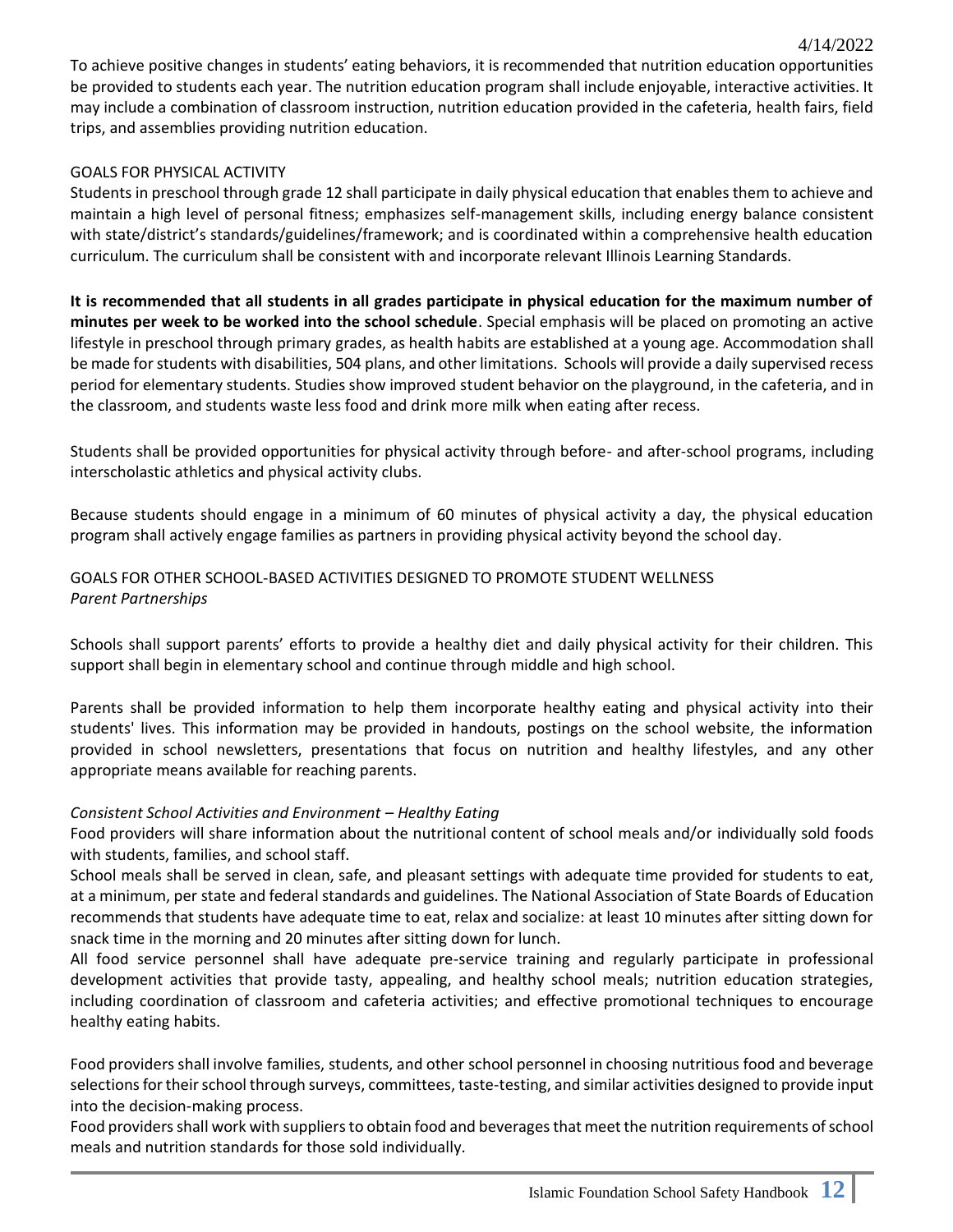To achieve positive changes in students' eating behaviors, it is recommended that nutrition education opportunities be provided to students each year. The nutrition education program shall include enjoyable, interactive activities. It may include a combination of classroom instruction, nutrition education provided in the cafeteria, health fairs, field trips, and assemblies providing nutrition education.

4/14/2022

## GOALS FOR PHYSICAL ACTIVITY

Students in preschool through grade 12 shall participate in daily physical education that enables them to achieve and maintain a high level of personal fitness; emphasizes self-management skills, including energy balance consistent with state/district's standards/guidelines/framework; and is coordinated within a comprehensive health education curriculum. The curriculum shall be consistent with and incorporate relevant Illinois Learning Standards.

**It is recommended that all students in all grades participate in physical education for the maximum number of minutes per week to be worked into the school schedule**. Special emphasis will be placed on promoting an active lifestyle in preschool through primary grades, as health habits are established at a young age. Accommodation shall be made for students with disabilities, 504 plans, and other limitations. Schools will provide a daily supervised recess period for elementary students. Studies show improved student behavior on the playground, in the cafeteria, and in the classroom, and students waste less food and drink more milk when eating after recess.

Students shall be provided opportunities for physical activity through before- and after-school programs, including interscholastic athletics and physical activity clubs.

Because students should engage in a minimum of 60 minutes of physical activity a day, the physical education program shall actively engage families as partners in providing physical activity beyond the school day.

## GOALS FOR OTHER SCHOOL-BASED ACTIVITIES DESIGNED TO PROMOTE STUDENT WELLNESS *Parent Partnerships*

Schools shall support parents' efforts to provide a healthy diet and daily physical activity for their children. This support shall begin in elementary school and continue through middle and high school.

Parents shall be provided information to help them incorporate healthy eating and physical activity into their students' lives. This information may be provided in handouts, postings on the school website, the information provided in school newsletters, presentations that focus on nutrition and healthy lifestyles, and any other appropriate means available for reaching parents.

# *Consistent School Activities and Environment – Healthy Eating*

Food providers will share information about the nutritional content of school meals and/or individually sold foods with students, families, and school staff.

School meals shall be served in clean, safe, and pleasant settings with adequate time provided for students to eat, at a minimum, per state and federal standards and guidelines. The National Association of State Boards of Education recommends that students have adequate time to eat, relax and socialize: at least 10 minutes after sitting down for snack time in the morning and 20 minutes after sitting down for lunch.

All food service personnel shall have adequate pre-service training and regularly participate in professional development activities that provide tasty, appealing, and healthy school meals; nutrition education strategies, including coordination of classroom and cafeteria activities; and effective promotional techniques to encourage healthy eating habits.

Food providers shall involve families, students, and other school personnel in choosing nutritious food and beverage selections for their school through surveys, committees, taste-testing, and similar activities designed to provide input into the decision-making process.

Food providers shall work with suppliers to obtain food and beverages that meet the nutrition requirements of school meals and nutrition standards for those sold individually.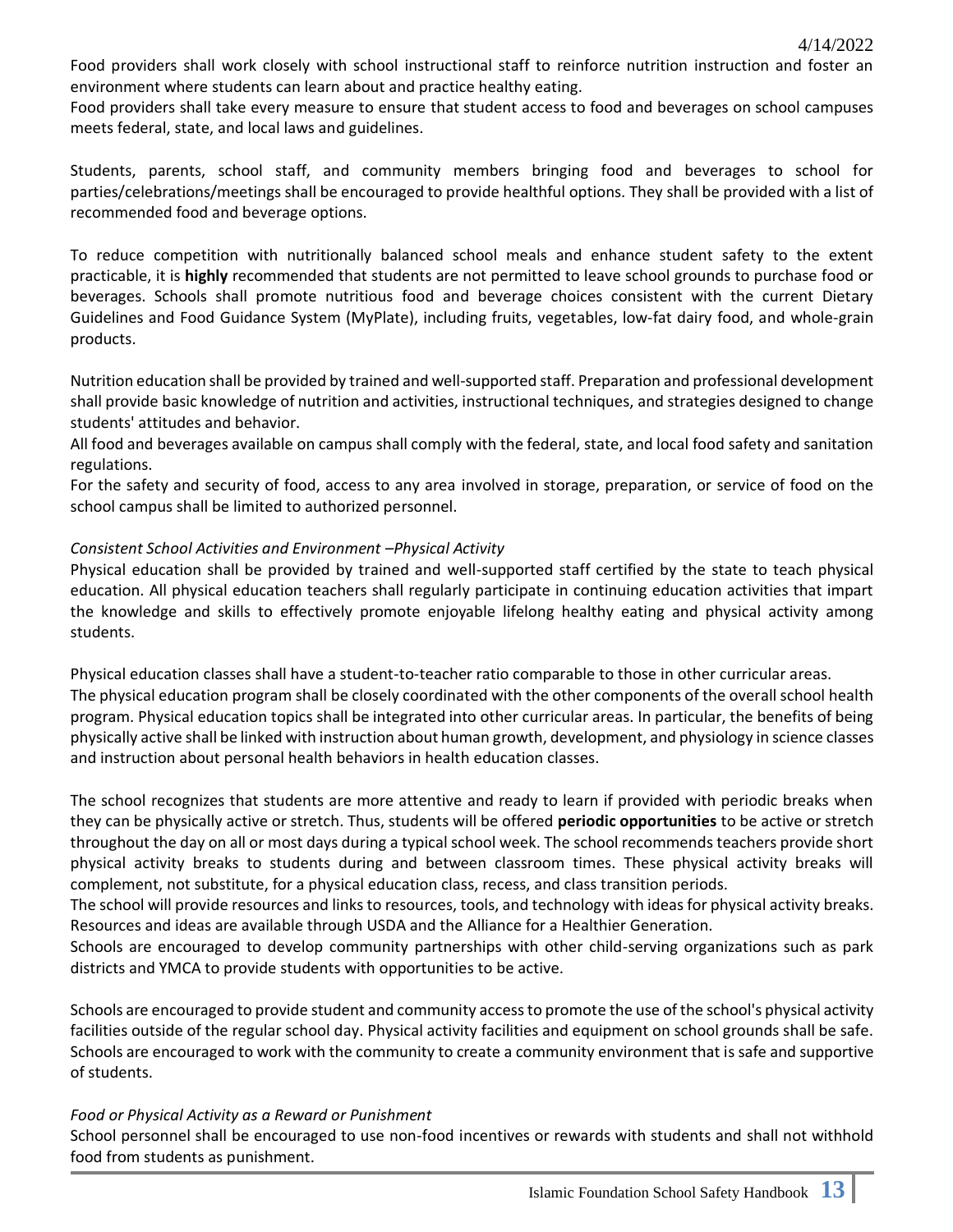Food providers shall work closely with school instructional staff to reinforce nutrition instruction and foster an environment where students can learn about and practice healthy eating.

Food providers shall take every measure to ensure that student access to food and beverages on school campuses meets federal, state, and local laws and guidelines.

Students, parents, school staff, and community members bringing food and beverages to school for parties/celebrations/meetings shall be encouraged to provide healthful options. They shall be provided with a list of recommended food and beverage options.

To reduce competition with nutritionally balanced school meals and enhance student safety to the extent practicable, it is **highly** recommended that students are not permitted to leave school grounds to purchase food or beverages. Schools shall promote nutritious food and beverage choices consistent with the current Dietary Guidelines and Food Guidance System (MyPlate), including fruits, vegetables, low-fat dairy food, and whole-grain products.

Nutrition education shall be provided by trained and well-supported staff. Preparation and professional development shall provide basic knowledge of nutrition and activities, instructional techniques, and strategies designed to change students' attitudes and behavior.

All food and beverages available on campus shall comply with the federal, state, and local food safety and sanitation regulations.

For the safety and security of food, access to any area involved in storage, preparation, or service of food on the school campus shall be limited to authorized personnel.

## *Consistent School Activities and Environment –Physical Activity*

Physical education shall be provided by trained and well-supported staff certified by the state to teach physical education. All physical education teachers shall regularly participate in continuing education activities that impart the knowledge and skills to effectively promote enjoyable lifelong healthy eating and physical activity among students.

Physical education classes shall have a student-to-teacher ratio comparable to those in other curricular areas. The physical education program shall be closely coordinated with the other components of the overall school health program. Physical education topics shall be integrated into other curricular areas. In particular, the benefits of being physically active shall be linked with instruction about human growth, development, and physiology in science classes and instruction about personal health behaviors in health education classes.

The school recognizes that students are more attentive and ready to learn if provided with periodic breaks when they can be physically active or stretch. Thus, students will be offered **periodic opportunities** to be active or stretch throughout the day on all or most days during a typical school week. The school recommends teachers provide short physical activity breaks to students during and between classroom times. These physical activity breaks will complement, not substitute, for a physical education class, recess, and class transition periods.

The school will provide resources and links to resources, tools, and technology with ideas for physical activity breaks. Resources and ideas are available through USDA and the Alliance for a Healthier Generation.

Schools are encouraged to develop community partnerships with other child-serving organizations such as park districts and YMCA to provide students with opportunities to be active.

Schools are encouraged to provide student and community access to promote the use of the school's physical activity facilities outside of the regular school day. Physical activity facilities and equipment on school grounds shall be safe. Schools are encouraged to work with the community to create a community environment that is safe and supportive of students.

## *Food or Physical Activity as a Reward or Punishment*

School personnel shall be encouraged to use non-food incentives or rewards with students and shall not withhold food from students as punishment.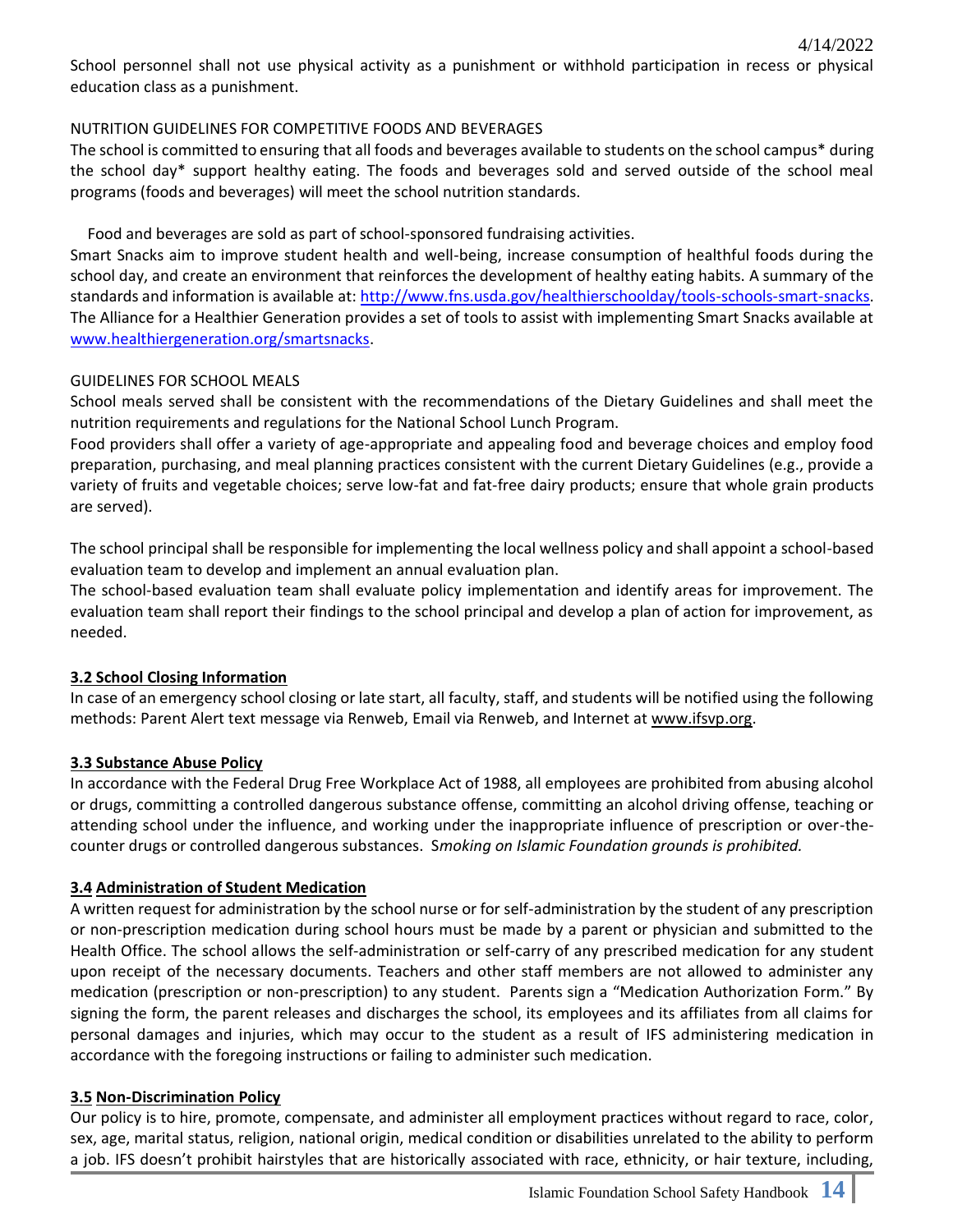School personnel shall not use physical activity as a punishment or withhold participation in recess or physical education class as a punishment.

## NUTRITION GUIDELINES FOR COMPETITIVE FOODS AND BEVERAGES

The school is committed to ensuring that all foods and beverages available to students on the school campus\* during the school day\* support healthy eating. The foods and beverages sold and served outside of the school meal programs (foods and beverages) will meet the school nutrition standards.

Food and beverages are sold as part of school-sponsored fundraising activities.

Smart Snacks aim to improve student health and well-being, increase consumption of healthful foods during the school day, and create an environment that reinforces the development of healthy eating habits. A summary of the standards and information is available at[: http://www.fns.usda.gov/healthierschoolday/tools-schools-smart-snacks.](http://www.fns.usda.gov/healthierschoolday/tools-schools-smart-snacks) The Alliance for a Healthier Generation provides a set of tools to assist with implementing Smart Snacks available at [www.healthiergeneration.org/smartsnacks.](http://www.healthiergeneration.org/smartsnacks)

## GUIDELINES FOR SCHOOL MEALS

School meals served shall be consistent with the recommendations of the Dietary Guidelines and shall meet the nutrition requirements and regulations for the National School Lunch Program.

Food providers shall offer a variety of age-appropriate and appealing food and beverage choices and employ food preparation, purchasing, and meal planning practices consistent with the current Dietary Guidelines (e.g., provide a variety of fruits and vegetable choices; serve low-fat and fat-free dairy products; ensure that whole grain products are served).

The school principal shall be responsible for implementing the local wellness policy and shall appoint a school-based evaluation team to develop and implement an annual evaluation plan.

The school-based evaluation team shall evaluate policy implementation and identify areas for improvement. The evaluation team shall report their findings to the school principal and develop a plan of action for improvement, as needed.

# **3.2 School Closing Information**

In case of an emergency school closing or late start, all faculty, staff, and students will be notified using the following methods: Parent Alert text message via Renweb, Email via Renweb, and Internet a[t www.ifsvp.org.](http://www.ifsvp.org/)

## **3.3 Substance Abuse Policy**

In accordance with the Federal Drug Free Workplace Act of 1988, all employees are prohibited from abusing alcohol or drugs, committing a controlled dangerous substance offense, committing an alcohol driving offense, teaching or attending school under the influence, and working under the inappropriate influence of prescription or over-thecounter drugs or controlled dangerous substances. S*moking on Islamic Foundation grounds is prohibited.*

## **3.4 Administration of Student Medication**

A written request for administration by the school nurse or for self-administration by the student of any prescription or non-prescription medication during school hours must be made by a parent or physician and submitted to the Health Office. The school allows the self-administration or self-carry of any prescribed medication for any student upon receipt of the necessary documents. Teachers and other staff members are not allowed to administer any medication (prescription or non-prescription) to any student. Parents sign a "Medication Authorization Form." By signing the form, the parent releases and discharges the school, its employees and its affiliates from all claims for personal damages and injuries, which may occur to the student as a result of IFS administering medication in accordance with the foregoing instructions or failing to administer such medication.

## **3.5 Non-Discrimination Policy**

Our policy is to hire, promote, compensate, and administer all employment practices without regard to race, color, sex, age, marital status, religion, national origin, medical condition or disabilities unrelated to the ability to perform a job. IFS doesn't prohibit hairstyles that are historically associated with race, ethnicity, or hair texture, including,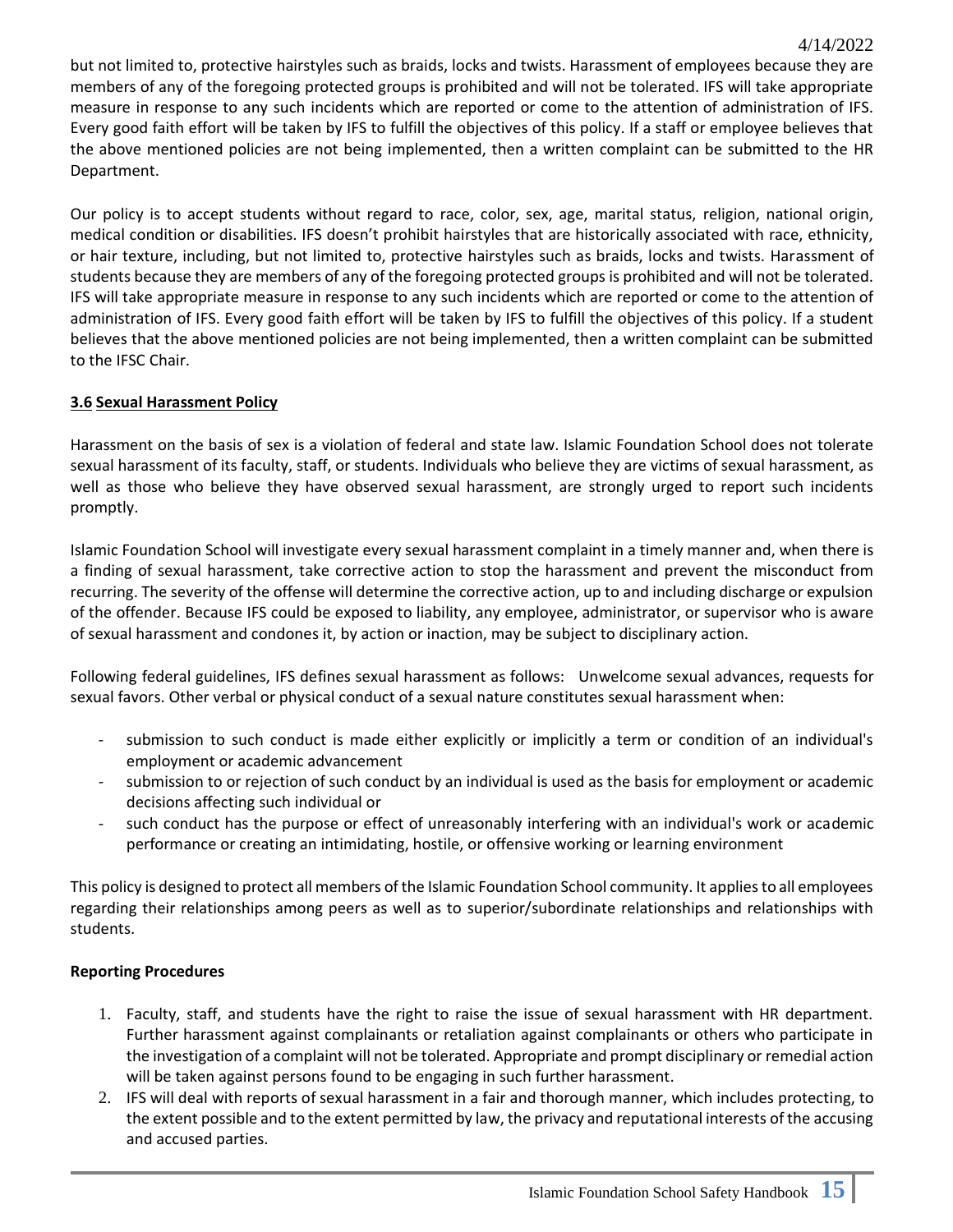but not limited to, protective hairstyles such as braids, locks and twists. Harassment of employees because they are members of any of the foregoing protected groups is prohibited and will not be tolerated. IFS will take appropriate measure in response to any such incidents which are reported or come to the attention of administration of IFS. Every good faith effort will be taken by IFS to fulfill the objectives of this policy. If a staff or employee believes that the above mentioned policies are not being implemented, then a written complaint can be submitted to the HR Department.

Our policy is to accept students without regard to race, color, sex, age, marital status, religion, national origin, medical condition or disabilities. IFS doesn't prohibit hairstyles that are historically associated with race, ethnicity, or hair texture, including, but not limited to, protective hairstyles such as braids, locks and twists. Harassment of students because they are members of any of the foregoing protected groups is prohibited and will not be tolerated. IFS will take appropriate measure in response to any such incidents which are reported or come to the attention of administration of IFS. Every good faith effort will be taken by IFS to fulfill the objectives of this policy. If a student believes that the above mentioned policies are not being implemented, then a written complaint can be submitted to the IFSC Chair.

# **3.6 Sexual Harassment Policy**

Harassment on the basis of sex is a violation of federal and state law. Islamic Foundation School does not tolerate sexual harassment of its faculty, staff, or students. Individuals who believe they are victims of sexual harassment, as well as those who believe they have observed sexual harassment, are strongly urged to report such incidents promptly.

Islamic Foundation School will investigate every sexual harassment complaint in a timely manner and, when there is a finding of sexual harassment, take corrective action to stop the harassment and prevent the misconduct from recurring. The severity of the offense will determine the corrective action, up to and including discharge or expulsion of the offender. Because IFS could be exposed to liability, any employee, administrator, or supervisor who is aware of sexual harassment and condones it, by action or inaction, may be subject to disciplinary action.

Following federal guidelines, IFS defines sexual harassment as follows: Unwelcome sexual advances, requests for sexual favors. Other verbal or physical conduct of a sexual nature constitutes sexual harassment when:

- submission to such conduct is made either explicitly or implicitly a term or condition of an individual's employment or academic advancement
- submission to or rejection of such conduct by an individual is used as the basis for employment or academic decisions affecting such individual or
- such conduct has the purpose or effect of unreasonably interfering with an individual's work or academic performance or creating an intimidating, hostile, or offensive working or learning environment

This policy is designed to protect all members of the Islamic Foundation School community. It applies to all employees regarding their relationships among peers as well as to superior/subordinate relationships and relationships with students.

## **Reporting Procedures**

- 1. Faculty, staff, and students have the right to raise the issue of sexual harassment with HR department. Further harassment against complainants or retaliation against complainants or others who participate in the investigation of a complaint will not be tolerated. Appropriate and prompt disciplinary or remedial action will be taken against persons found to be engaging in such further harassment.
- 2. IFS will deal with reports of sexual harassment in a fair and thorough manner, which includes protecting, to the extent possible and to the extent permitted by law, the privacy and reputational interests of the accusing and accused parties.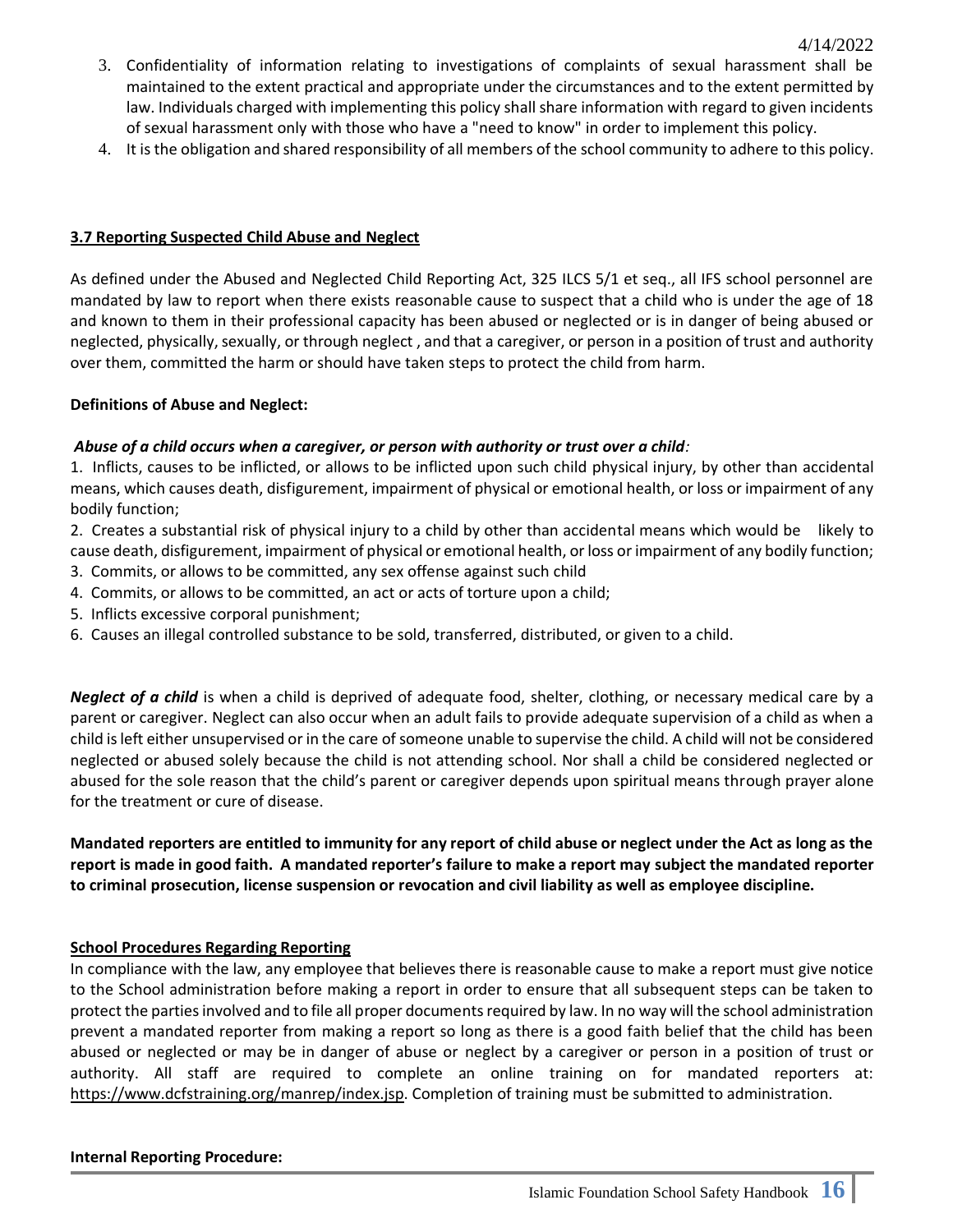- 3. Confidentiality of information relating to investigations of complaints of sexual harassment shall be maintained to the extent practical and appropriate under the circumstances and to the extent permitted by law. Individuals charged with implementing this policy shall share information with regard to given incidents of sexual harassment only with those who have a "need to know" in order to implement this policy.
- 4. It is the obligation and shared responsibility of all members of the school community to adhere to this policy.

## **3.7 Reporting Suspected Child Abuse and Neglect**

As defined under the Abused and Neglected Child Reporting Act, 325 ILCS 5/1 et seq., all IFS school personnel are mandated by law to report when there exists reasonable cause to suspect that a child who is under the age of 18 and known to them in their professional capacity has been abused or neglected or is in danger of being abused or neglected, physically, sexually, or through neglect , and that a caregiver, or person in a position of trust and authority over them, committed the harm or should have taken steps to protect the child from harm.

#### **Definitions of Abuse and Neglect:**

## *Abuse of a child occurs when a caregiver, or person with authority or trust over a child:*

1. Inflicts, causes to be inflicted, or allows to be inflicted upon such child physical injury, by other than accidental means, which causes death, disfigurement, impairment of physical or emotional health, or loss or impairment of any bodily function;

2. Creates a substantial risk of physical injury to a child by other than accidental means which would be likely to cause death, disfigurement, impairment of physical or emotional health, or loss or impairment of any bodily function;

- 3. Commits, or allows to be committed, any sex offense against such child
- 4. Commits, or allows to be committed, an act or acts of torture upon a child;
- 5. Inflicts excessive corporal punishment;
- 6. Causes an illegal controlled substance to be sold, transferred, distributed, or given to a child.

*Neglect of a child* is when a child is deprived of adequate food, shelter, clothing, or necessary medical care by a parent or caregiver. Neglect can also occur when an adult fails to provide adequate supervision of a child as when a child is left either unsupervised or in the care of someone unable to supervise the child. A child will not be considered neglected or abused solely because the child is not attending school. Nor shall a child be considered neglected or abused for the sole reason that the child's parent or caregiver depends upon spiritual means through prayer alone for the treatment or cure of disease.

**Mandated reporters are entitled to immunity for any report of child abuse or neglect under the Act as long as the report is made in good faith. A mandated reporter's failure to make a report may subject the mandated reporter to criminal prosecution, license suspension or revocation and civil liability as well as employee discipline.**

#### **School Procedures Regarding Reporting**

In compliance with the law, any employee that believes there is reasonable cause to make a report must give notice to the School administration before making a report in order to ensure that all subsequent steps can be taken to protect the parties involved and to file all proper documents required by law. In no way will the school administration prevent a mandated reporter from making a report so long as there is a good faith belief that the child has been abused or neglected or may be in danger of abuse or neglect by a caregiver or person in a position of trust or authority. All staff are required to complete an online training on for mandated reporters at: [https://www.dcfstraining.org/manrep/index.jsp.](https://www.dcfstraining.org/manrep/index.jsp) Completion of training must be submitted to administration.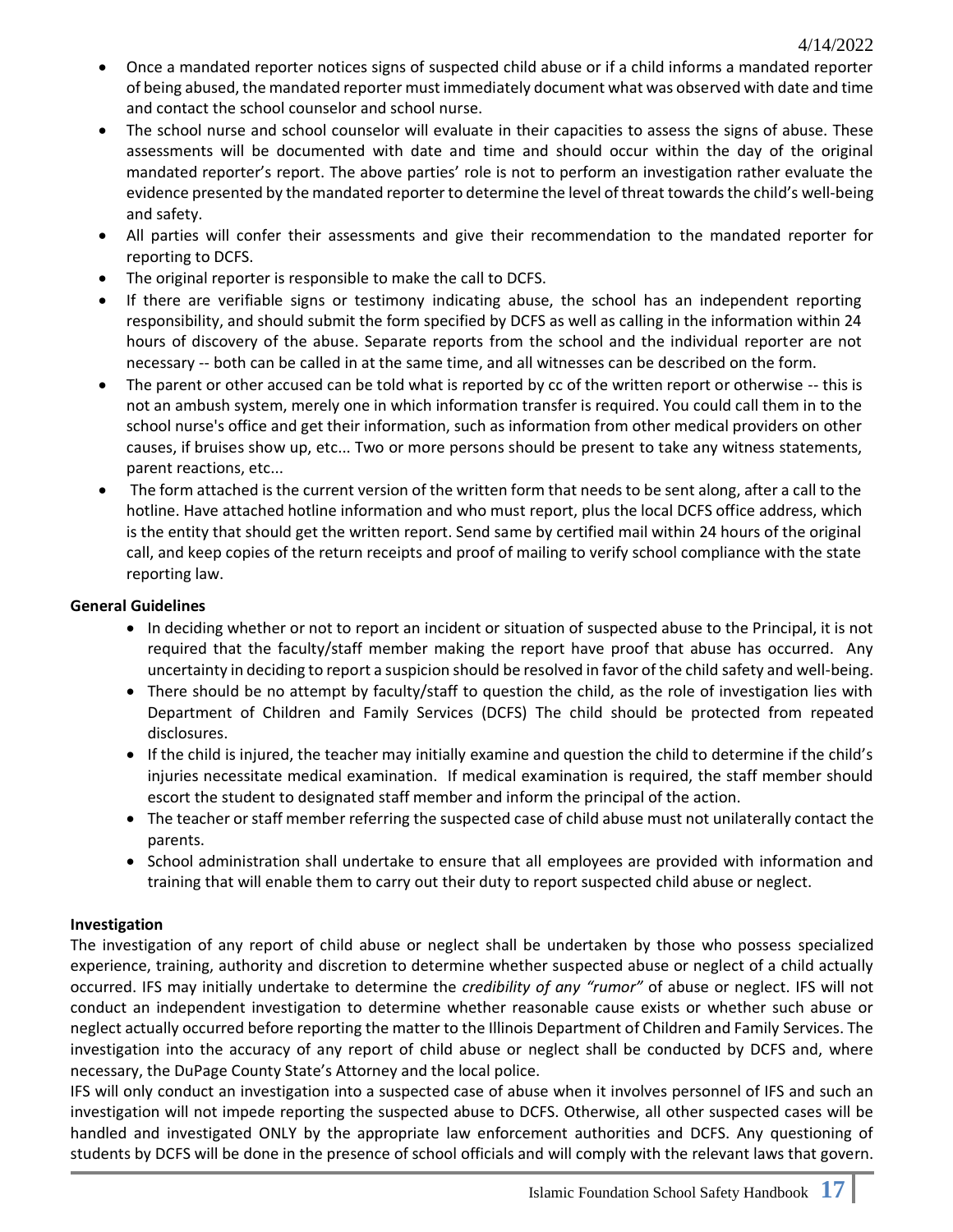- Once a mandated reporter notices signs of suspected child abuse or if a child informs a mandated reporter of being abused, the mandated reporter must immediately document what was observed with date and time and contact the school counselor and school nurse.
- The school nurse and school counselor will evaluate in their capacities to assess the signs of abuse. These assessments will be documented with date and time and should occur within the day of the original mandated reporter's report. The above parties' role is not to perform an investigation rather evaluate the evidence presented by the mandated reporter to determine the level of threat towards the child's well-being and safety.
- All parties will confer their assessments and give their recommendation to the mandated reporter for reporting to DCFS.
- The original reporter is responsible to make the call to DCFS.
- If there are verifiable signs or testimony indicating abuse, the school has an independent reporting responsibility, and should submit the form specified by DCFS as well as calling in the information within 24 hours of discovery of the abuse. Separate reports from the school and the individual reporter are not necessary -- both can be called in at the same time, and all witnesses can be described on the form.
- The parent or other accused can be told what is reported by cc of the written report or otherwise -- this is not an ambush system, merely one in which information transfer is required. You could call them in to the school nurse's office and get their information, such as information from other medical providers on other causes, if bruises show up, etc... Two or more persons should be present to take any witness statements, parent reactions, etc...
- The form attached is the current version of the written form that needs to be sent along, after a call to the hotline. Have attached hotline information and who must report, plus the local DCFS office address, which is the entity that should get the written report. Send same by certified mail within 24 hours of the original call, and keep copies of the return receipts and proof of mailing to verify school compliance with the state reporting law.

## **General Guidelines**

- In deciding whether or not to report an incident or situation of suspected abuse to the Principal, it is not required that the faculty/staff member making the report have proof that abuse has occurred. Any uncertainty in deciding to report a suspicion should be resolved in favor of the child safety and well-being.
- There should be no attempt by faculty/staff to question the child, as the role of investigation lies with Department of Children and Family Services (DCFS) The child should be protected from repeated disclosures.
- If the child is injured, the teacher may initially examine and question the child to determine if the child's injuries necessitate medical examination. If medical examination is required, the staff member should escort the student to designated staff member and inform the principal of the action.
- The teacher or staff member referring the suspected case of child abuse must not unilaterally contact the parents.
- School administration shall undertake to ensure that all employees are provided with information and training that will enable them to carry out their duty to report suspected child abuse or neglect.

## **Investigation**

The investigation of any report of child abuse or neglect shall be undertaken by those who possess specialized experience, training, authority and discretion to determine whether suspected abuse or neglect of a child actually occurred. IFS may initially undertake to determine the *credibility of any "rumor"* of abuse or neglect. IFS will not conduct an independent investigation to determine whether reasonable cause exists or whether such abuse or neglect actually occurred before reporting the matter to the Illinois Department of Children and Family Services. The investigation into the accuracy of any report of child abuse or neglect shall be conducted by DCFS and, where necessary, the DuPage County State's Attorney and the local police.

IFS will only conduct an investigation into a suspected case of abuse when it involves personnel of IFS and such an investigation will not impede reporting the suspected abuse to DCFS. Otherwise, all other suspected cases will be handled and investigated ONLY by the appropriate law enforcement authorities and DCFS. Any questioning of students by DCFS will be done in the presence of school officials and will comply with the relevant laws that govern.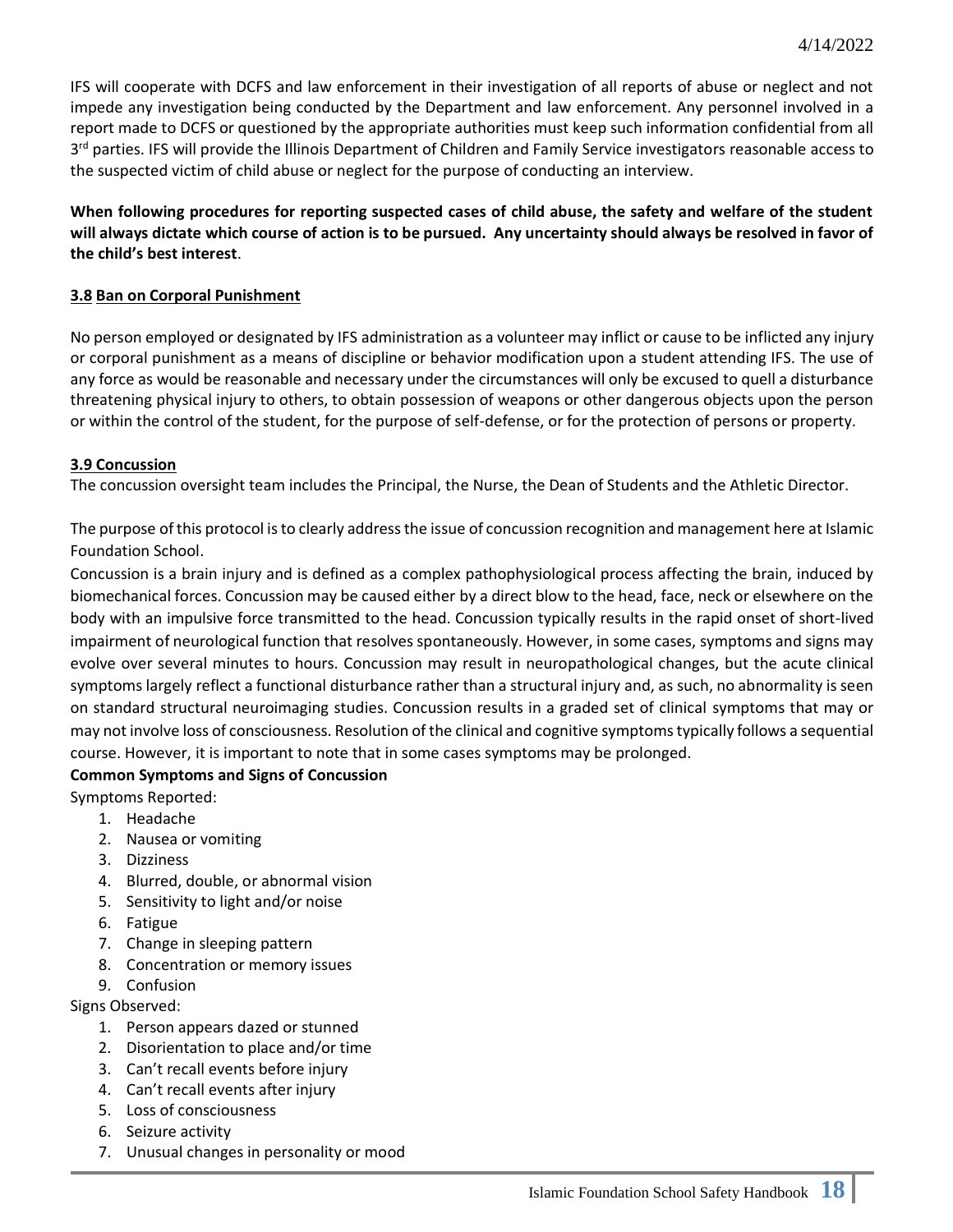IFS will cooperate with DCFS and law enforcement in their investigation of all reports of abuse or neglect and not impede any investigation being conducted by the Department and law enforcement. Any personnel involved in a report made to DCFS or questioned by the appropriate authorities must keep such information confidential from all 3<sup>rd</sup> parties. IFS will provide the Illinois Department of Children and Family Service investigators reasonable access to the suspected victim of child abuse or neglect for the purpose of conducting an interview.

**When following procedures for reporting suspected cases of child abuse, the safety and welfare of the student will always dictate which course of action is to be pursued. Any uncertainty should always be resolved in favor of the child's best interest**.

## **3.8 Ban on Corporal Punishment**

No person employed or designated by IFS administration as a volunteer may inflict or cause to be inflicted any injury or corporal punishment as a means of discipline or behavior modification upon a student attending IFS. The use of any force as would be reasonable and necessary under the circumstances will only be excused to quell a disturbance threatening physical injury to others, to obtain possession of weapons or other dangerous objects upon the person or within the control of the student, for the purpose of self-defense, or for the protection of persons or property.

#### **3.9 Concussion**

The concussion oversight team includes the Principal, the Nurse, the Dean of Students and the Athletic Director.

The purpose of this protocol is to clearly address the issue of concussion recognition and management here at Islamic Foundation School.

Concussion is a brain injury and is defined as a complex pathophysiological process affecting the brain, induced by biomechanical forces. Concussion may be caused either by a direct blow to the head, face, neck or elsewhere on the body with an impulsive force transmitted to the head. Concussion typically results in the rapid onset of short-lived impairment of neurological function that resolves spontaneously. However, in some cases, symptoms and signs may evolve over several minutes to hours. Concussion may result in neuropathological changes, but the acute clinical symptoms largely reflect a functional disturbance rather than a structural injury and, as such, no abnormality is seen on standard structural neuroimaging studies. Concussion results in a graded set of clinical symptoms that may or may not involve loss of consciousness. Resolution of the clinical and cognitive symptoms typically follows a sequential course. However, it is important to note that in some cases symptoms may be prolonged.

#### **Common Symptoms and Signs of Concussion**

Symptoms Reported:

- 1. Headache
- 2. Nausea or vomiting
- 3. Dizziness
- 4. Blurred, double, or abnormal vision
- 5. Sensitivity to light and/or noise
- 6. Fatigue
- 7. Change in sleeping pattern
- 8. Concentration or memory issues
- 9. Confusion

Signs Observed:

- 1. Person appears dazed or stunned
- 2. Disorientation to place and/or time
- 3. Can't recall events before injury
- 4. Can't recall events after injury
- 5. Loss of consciousness
- 6. Seizure activity
- 7. Unusual changes in personality or mood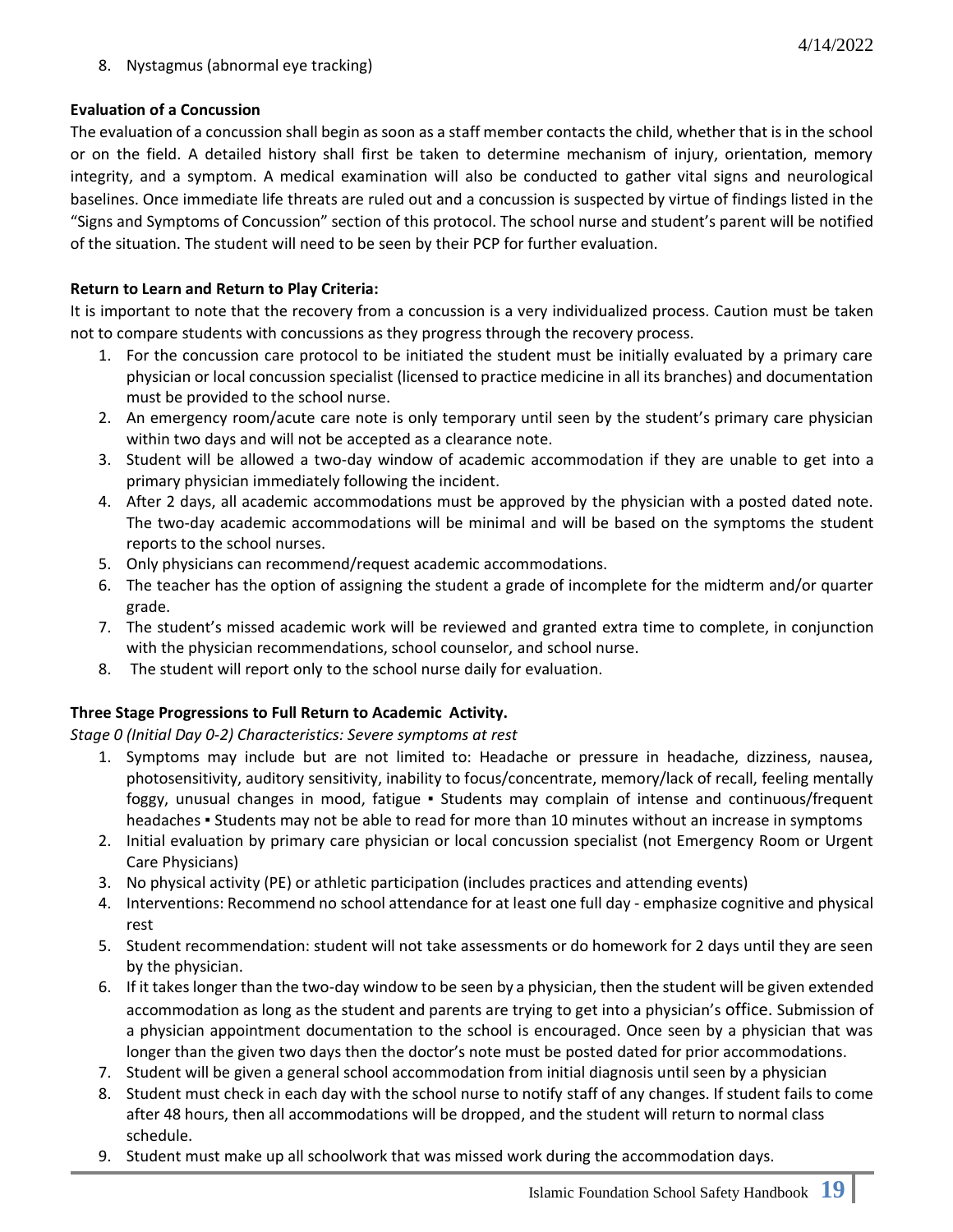8. Nystagmus (abnormal eye tracking)

#### **Evaluation of a Concussion**

The evaluation of a concussion shall begin as soon as a staff member contacts the child, whether that is in the school or on the field. A detailed history shall first be taken to determine mechanism of injury, orientation, memory integrity, and a symptom. A medical examination will also be conducted to gather vital signs and neurological baselines. Once immediate life threats are ruled out and a concussion is suspected by virtue of findings listed in the "Signs and Symptoms of Concussion" section of this protocol. The school nurse and student's parent will be notified of the situation. The student will need to be seen by their PCP for further evaluation.

## **Return to Learn and Return to Play Criteria:**

It is important to note that the recovery from a concussion is a very individualized process. Caution must be taken not to compare students with concussions as they progress through the recovery process.

- 1. For the concussion care protocol to be initiated the student must be initially evaluated by a primary care physician or local concussion specialist (licensed to practice medicine in all its branches) and documentation must be provided to the school nurse.
- 2. An emergency room/acute care note is only temporary until seen by the student's primary care physician within two days and will not be accepted as a clearance note.
- 3. Student will be allowed a two-day window of academic accommodation if they are unable to get into a primary physician immediately following the incident.
- 4. After 2 days, all academic accommodations must be approved by the physician with a posted dated note. The two-day academic accommodations will be minimal and will be based on the symptoms the student reports to the school nurses.
- 5. Only physicians can recommend/request academic accommodations.
- 6. The teacher has the option of assigning the student a grade of incomplete for the midterm and/or quarter grade.
- 7. The student's missed academic work will be reviewed and granted extra time to complete, in conjunction with the physician recommendations, school counselor, and school nurse.
- 8. The student will report only to the school nurse daily for evaluation.

## **Three Stage Progressions to Full Return to Academic Activity.**

*Stage 0 (Initial Day 0-2) Characteristics: Severe symptoms at rest*

- 1. Symptoms may include but are not limited to: Headache or pressure in headache, dizziness, nausea, photosensitivity, auditory sensitivity, inability to focus/concentrate, memory/lack of recall, feeling mentally foggy, unusual changes in mood, fatigue ▪ Students may complain of intense and continuous/frequent headaches • Students may not be able to read for more than 10 minutes without an increase in symptoms
- 2. Initial evaluation by primary care physician or local concussion specialist (not Emergency Room or Urgent Care Physicians)
- 3. No physical activity (PE) or athletic participation (includes practices and attending events)
- 4. Interventions: Recommend no school attendance for at least one full day emphasize cognitive and physical rest
- 5. Student recommendation: student will not take assessments or do homework for 2 days until they are seen by the physician.
- 6. If it takes longer than the two-day window to be seen by a physician, then the student will be given extended accommodation as long as the student and parents are trying to get into a physician's office. Submission of a physician appointment documentation to the school is encouraged. Once seen by a physician that was longer than the given two days then the doctor's note must be posted dated for prior accommodations.
- 7. Student will be given a general school accommodation from initial diagnosis until seen by a physician
- 8. Student must check in each day with the school nurse to notify staff of any changes. If student fails to come after 48 hours, then all accommodations will be dropped, and the student will return to normal class schedule.
- 9. Student must make up all schoolwork that was missed work during the accommodation days.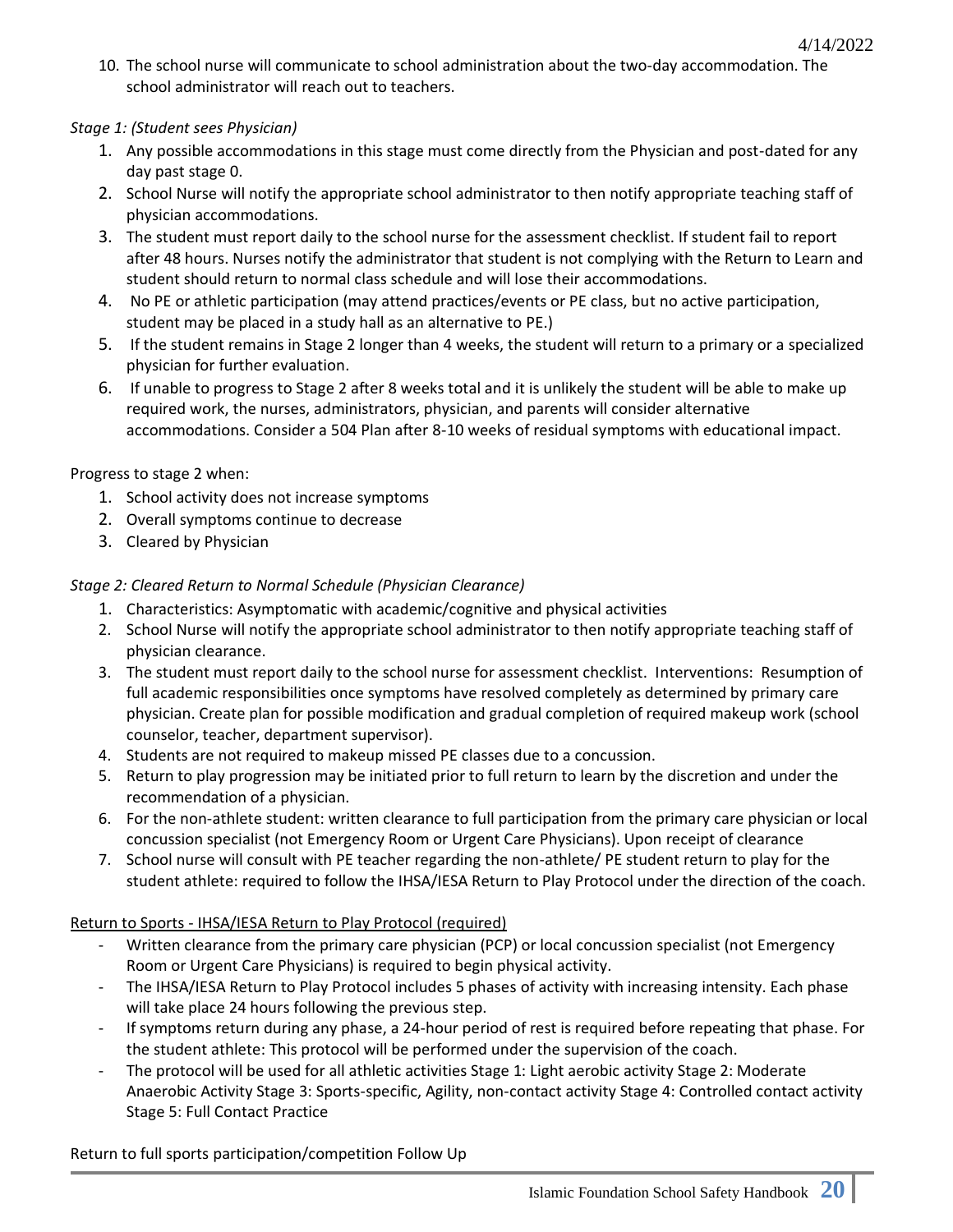10. The school nurse will communicate to school administration about the two-day accommodation. The school administrator will reach out to teachers.

## *Stage 1: (Student sees Physician)*

- 1. Any possible accommodations in this stage must come directly from the Physician and post-dated for any day past stage 0.
- 2. School Nurse will notify the appropriate school administrator to then notify appropriate teaching staff of physician accommodations.
- 3. The student must report daily to the school nurse for the assessment checklist. If student fail to report after 48 hours. Nurses notify the administrator that student is not complying with the Return to Learn and student should return to normal class schedule and will lose their accommodations.
- 4. No PE or athletic participation (may attend practices/events or PE class, but no active participation, student may be placed in a study hall as an alternative to PE.)
- 5. If the student remains in Stage 2 longer than 4 weeks, the student will return to a primary or a specialized physician for further evaluation.
- 6. If unable to progress to Stage 2 after 8 weeks total and it is unlikely the student will be able to make up required work, the nurses, administrators, physician, and parents will consider alternative accommodations. Consider a 504 Plan after 8-10 weeks of residual symptoms with educational impact.

## Progress to stage 2 when:

- 1. School activity does not increase symptoms
- 2. Overall symptoms continue to decrease
- 3. Cleared by Physician

## *Stage 2: Cleared Return to Normal Schedule (Physician Clearance)*

- 1. Characteristics: Asymptomatic with academic/cognitive and physical activities
- 2. School Nurse will notify the appropriate school administrator to then notify appropriate teaching staff of physician clearance.
- 3. The student must report daily to the school nurse for assessment checklist. Interventions: Resumption of full academic responsibilities once symptoms have resolved completely as determined by primary care physician. Create plan for possible modification and gradual completion of required makeup work (school counselor, teacher, department supervisor).
- 4. Students are not required to makeup missed PE classes due to a concussion.
- 5. Return to play progression may be initiated prior to full return to learn by the discretion and under the recommendation of a physician.
- 6. For the non-athlete student: written clearance to full participation from the primary care physician or local concussion specialist (not Emergency Room or Urgent Care Physicians). Upon receipt of clearance
- 7. School nurse will consult with PE teacher regarding the non-athlete/ PE student return to play for the student athlete: required to follow the IHSA/IESA Return to Play Protocol under the direction of the coach.

## Return to Sports - IHSA/IESA Return to Play Protocol (required)

- Written clearance from the primary care physician (PCP) or local concussion specialist (not Emergency Room or Urgent Care Physicians) is required to begin physical activity.
- The IHSA/IESA Return to Play Protocol includes 5 phases of activity with increasing intensity. Each phase will take place 24 hours following the previous step.
- If symptoms return during any phase, a 24-hour period of rest is required before repeating that phase. For the student athlete: This protocol will be performed under the supervision of the coach.
- The protocol will be used for all athletic activities Stage 1: Light aerobic activity Stage 2: Moderate Anaerobic Activity Stage 3: Sports-specific, Agility, non-contact activity Stage 4: Controlled contact activity Stage 5: Full Contact Practice

Return to full sports participation/competition Follow Up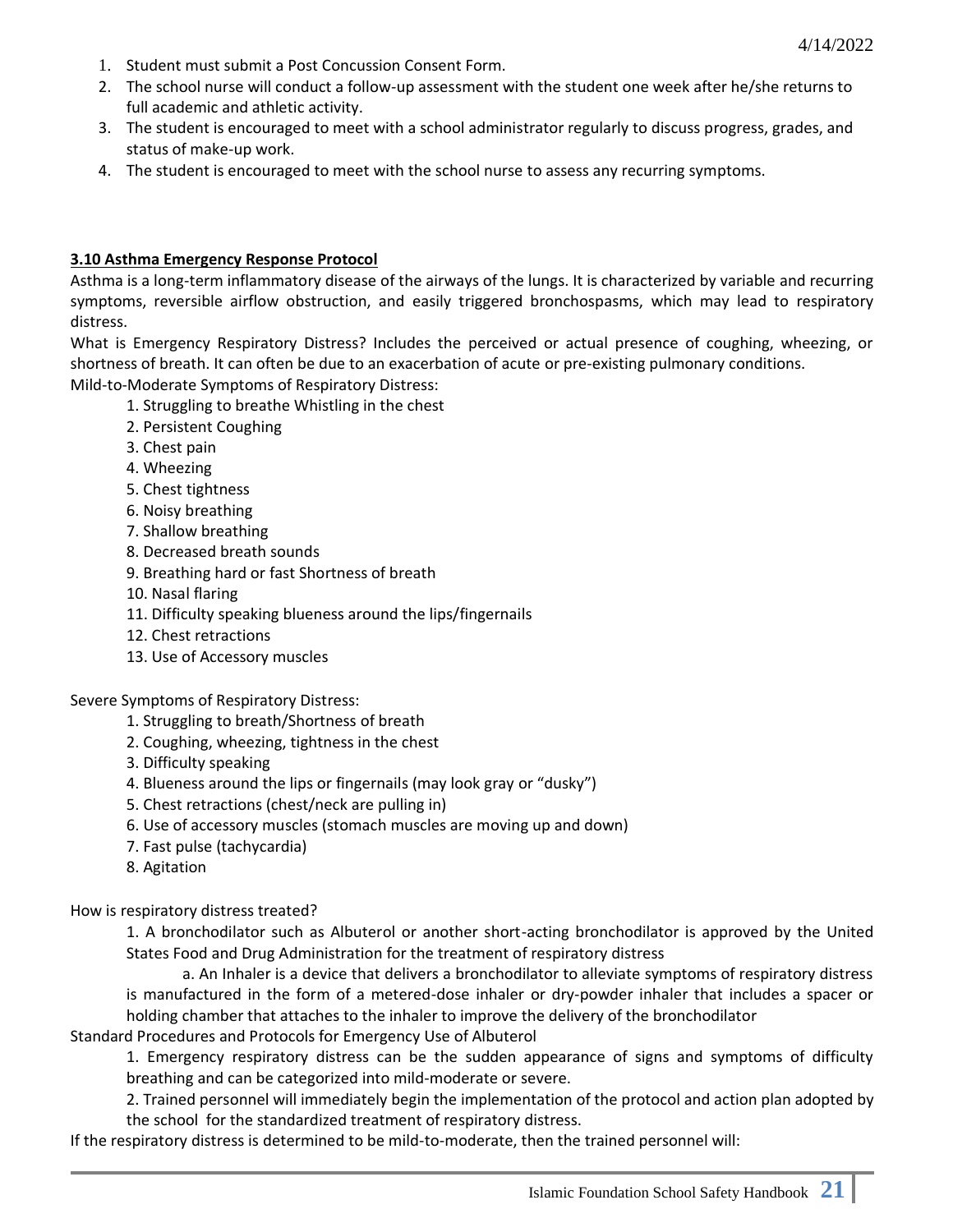- 1. Student must submit a Post Concussion Consent Form.
- 2. The school nurse will conduct a follow-up assessment with the student one week after he/she returns to full academic and athletic activity.
- 3. The student is encouraged to meet with a school administrator regularly to discuss progress, grades, and status of make-up work.
- 4. The student is encouraged to meet with the school nurse to assess any recurring symptoms.

#### **3.10 Asthma Emergency Response Protocol**

Asthma is a long-term inflammatory disease of the airways of the lungs. It is characterized by variable and recurring symptoms, reversible airflow obstruction, and easily triggered bronchospasms, which may lead to respiratory distress.

What is Emergency Respiratory Distress? Includes the perceived or actual presence of coughing, wheezing, or shortness of breath. It can often be due to an exacerbation of acute or pre-existing pulmonary conditions. Mild-to-Moderate Symptoms of Respiratory Distress:

1. Struggling to breathe Whistling in the chest

- 2. Persistent Coughing
- 3. Chest pain
- 4. Wheezing
- 5. Chest tightness
- 6. Noisy breathing
- 7. Shallow breathing
- 8. Decreased breath sounds
- 9. Breathing hard or fast Shortness of breath
- 10. Nasal flaring
- 11. Difficulty speaking blueness around the lips/fingernails
- 12. Chest retractions
- 13. Use of Accessory muscles

Severe Symptoms of Respiratory Distress:

- 1. Struggling to breath/Shortness of breath
- 2. Coughing, wheezing, tightness in the chest
- 3. Difficulty speaking
- 4. Blueness around the lips or fingernails (may look gray or "dusky")
- 5. Chest retractions (chest/neck are pulling in)
- 6. Use of accessory muscles (stomach muscles are moving up and down)
- 7. Fast pulse (tachycardia)
- 8. Agitation

How is respiratory distress treated?

1. A bronchodilator such as Albuterol or another short-acting bronchodilator is approved by the United States Food and Drug Administration for the treatment of respiratory distress

a. An Inhaler is a device that delivers a bronchodilator to alleviate symptoms of respiratory distress is manufactured in the form of a metered-dose inhaler or dry-powder inhaler that includes a spacer or holding chamber that attaches to the inhaler to improve the delivery of the bronchodilator

Standard Procedures and Protocols for Emergency Use of Albuterol

1. Emergency respiratory distress can be the sudden appearance of signs and symptoms of difficulty breathing and can be categorized into mild-moderate or severe.

2. Trained personnel will immediately begin the implementation of the protocol and action plan adopted by the school for the standardized treatment of respiratory distress.

If the respiratory distress is determined to be mild-to-moderate, then the trained personnel will: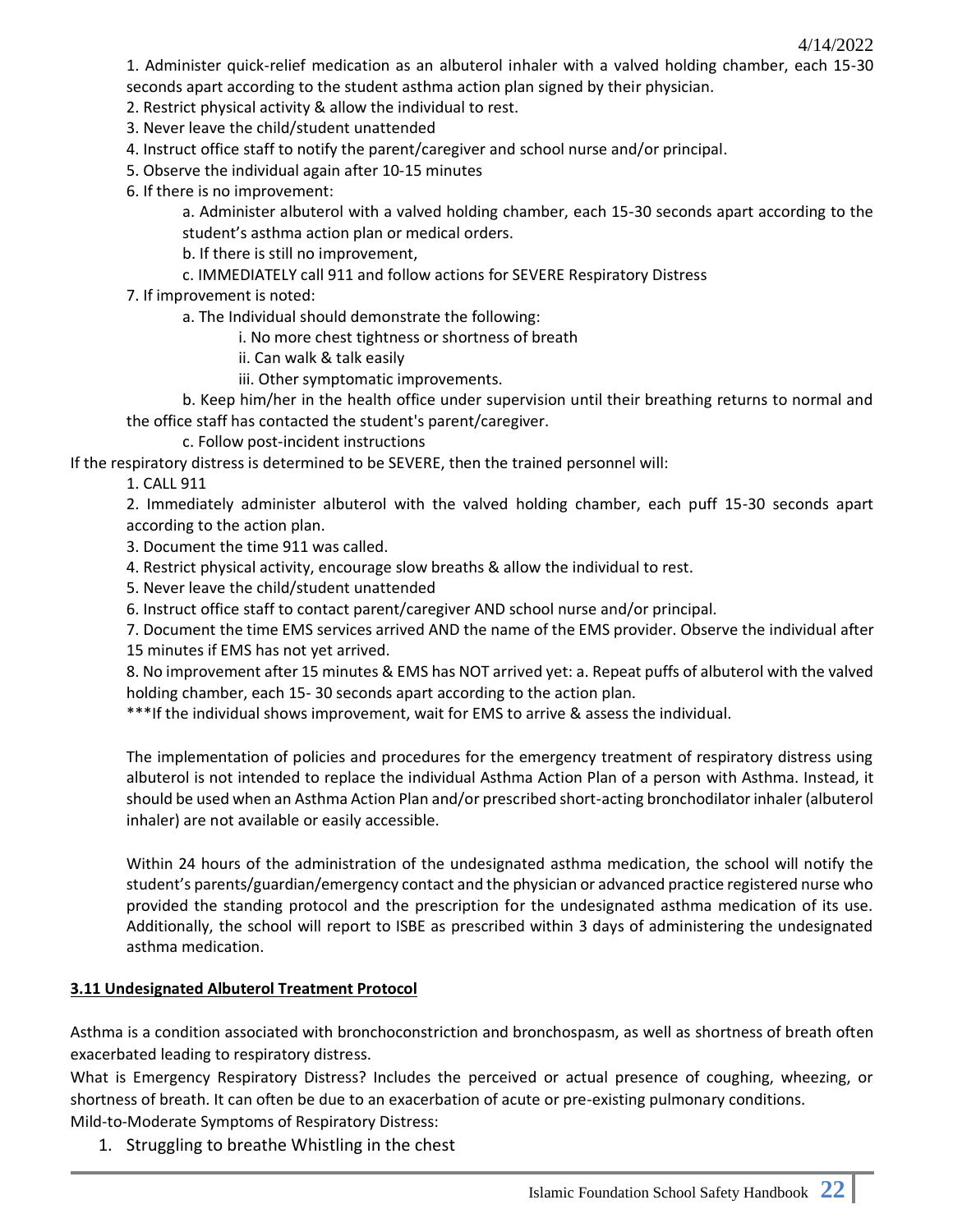1. Administer quick-relief medication as an albuterol inhaler with a valved holding chamber, each 15-30 seconds apart according to the student asthma action plan signed by their physician.

2. Restrict physical activity & allow the individual to rest.

3. Never leave the child/student unattended

4. Instruct office staff to notify the parent/caregiver and school nurse and/or principal.

5. Observe the individual again after 10-15 minutes

6. If there is no improvement:

a. Administer albuterol with a valved holding chamber, each 15-30 seconds apart according to the student's asthma action plan or medical orders.

b. If there is still no improvement,

c. IMMEDIATELY call 911 and follow actions for SEVERE Respiratory Distress

7. If improvement is noted:

a. The Individual should demonstrate the following:

i. No more chest tightness or shortness of breath

- ii. Can walk & talk easily
- iii. Other symptomatic improvements.

b. Keep him/her in the health office under supervision until their breathing returns to normal and the office staff has contacted the student's parent/caregiver.

c. Follow post-incident instructions

If the respiratory distress is determined to be SEVERE, then the trained personnel will:

1. CALL 911

2. Immediately administer albuterol with the valved holding chamber, each puff 15-30 seconds apart according to the action plan.

3. Document the time 911 was called.

4. Restrict physical activity, encourage slow breaths & allow the individual to rest.

- 5. Never leave the child/student unattended
- 6. Instruct office staff to contact parent/caregiver AND school nurse and/or principal.

7. Document the time EMS services arrived AND the name of the EMS provider. Observe the individual after 15 minutes if EMS has not yet arrived.

8. No improvement after 15 minutes & EMS has NOT arrived yet: a. Repeat puffs of albuterol with the valved holding chamber, each 15- 30 seconds apart according to the action plan.

\*\*\*If the individual shows improvement, wait for EMS to arrive & assess the individual.

The implementation of policies and procedures for the emergency treatment of respiratory distress using albuterol is not intended to replace the individual Asthma Action Plan of a person with Asthma. Instead, it should be used when an Asthma Action Plan and/or prescribed short-acting bronchodilator inhaler (albuterol inhaler) are not available or easily accessible.

Within 24 hours of the administration of the undesignated asthma medication, the school will notify the student's parents/guardian/emergency contact and the physician or advanced practice registered nurse who provided the standing protocol and the prescription for the undesignated asthma medication of its use. Additionally, the school will report to ISBE as prescribed within 3 days of administering the undesignated asthma medication.

## **3.11 Undesignated Albuterol Treatment Protocol**

Asthma is a condition associated with bronchoconstriction and bronchospasm, as well as shortness of breath often exacerbated leading to respiratory distress.

What is Emergency Respiratory Distress? Includes the perceived or actual presence of coughing, wheezing, or shortness of breath. It can often be due to an exacerbation of acute or pre-existing pulmonary conditions.

Mild-to-Moderate Symptoms of Respiratory Distress:

1. Struggling to breathe Whistling in the chest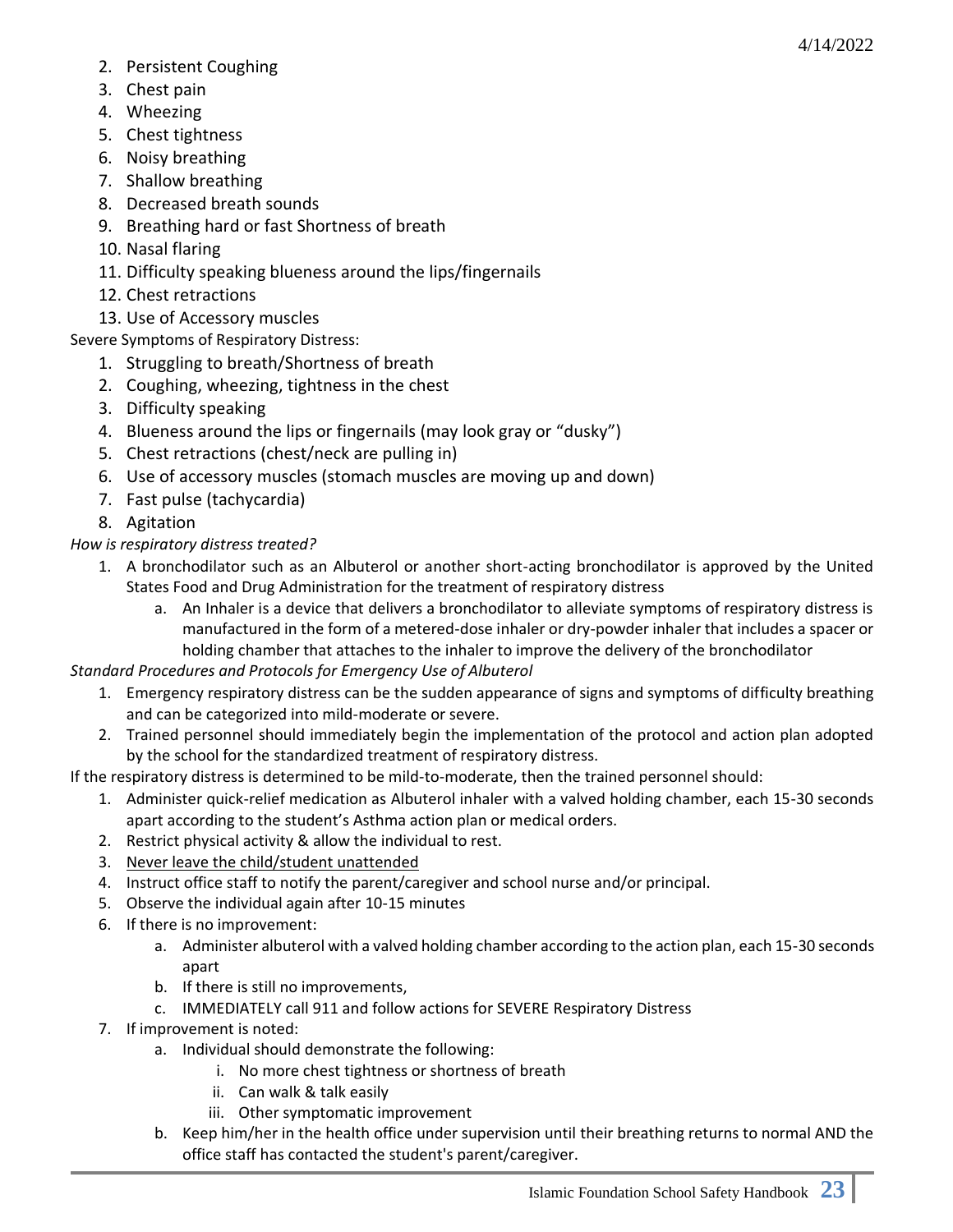- 2. Persistent Coughing
- 3. Chest pain
- 4. Wheezing
- 5. Chest tightness
- 6. Noisy breathing
- 7. Shallow breathing
- 8. Decreased breath sounds
- 9. Breathing hard or fast Shortness of breath
- 10. Nasal flaring
- 11. Difficulty speaking blueness around the lips/fingernails
- 12. Chest retractions
- 13. Use of Accessory muscles

Severe Symptoms of Respiratory Distress:

- 1. Struggling to breath/Shortness of breath
- 2. Coughing, wheezing, tightness in the chest
- 3. Difficulty speaking
- 4. Blueness around the lips or fingernails (may look gray or "dusky")
- 5. Chest retractions (chest/neck are pulling in)
- 6. Use of accessory muscles (stomach muscles are moving up and down)
- 7. Fast pulse (tachycardia)
- 8. Agitation

# *How is respiratory distress treated?*

- 1. A bronchodilator such as an Albuterol or another short-acting bronchodilator is approved by the United States Food and Drug Administration for the treatment of respiratory distress
	- a. An Inhaler is a device that delivers a bronchodilator to alleviate symptoms of respiratory distress is manufactured in the form of a metered-dose inhaler or dry-powder inhaler that includes a spacer or holding chamber that attaches to the inhaler to improve the delivery of the bronchodilator

*Standard Procedures and Protocols for Emergency Use of Albuterol*

- 1. Emergency respiratory distress can be the sudden appearance of signs and symptoms of difficulty breathing and can be categorized into mild-moderate or severe.
- 2. Trained personnel should immediately begin the implementation of the protocol and action plan adopted by the school for the standardized treatment of respiratory distress.

If the respiratory distress is determined to be mild-to-moderate, then the trained personnel should:

- 1. Administer quick-relief medication as Albuterol inhaler with a valved holding chamber, each 15-30 seconds apart according to the student's Asthma action plan or medical orders.
- 2. Restrict physical activity & allow the individual to rest.
- 3. Never leave the child/student unattended
- 4. Instruct office staff to notify the parent/caregiver and school nurse and/or principal.
- 5. Observe the individual again after 10-15 minutes
- 6. If there is no improvement:
	- a. Administer albuterol with a valved holding chamber according to the action plan, each 15-30 seconds apart
	- b. If there is still no improvements,
	- c. IMMEDIATELY call 911 and follow actions for SEVERE Respiratory Distress
- 7. If improvement is noted:
	- a. Individual should demonstrate the following:
		- i. No more chest tightness or shortness of breath
		- ii. Can walk & talk easily
		- iii. Other symptomatic improvement
	- b. Keep him/her in the health office under supervision until their breathing returns to normal AND the office staff has contacted the student's parent/caregiver.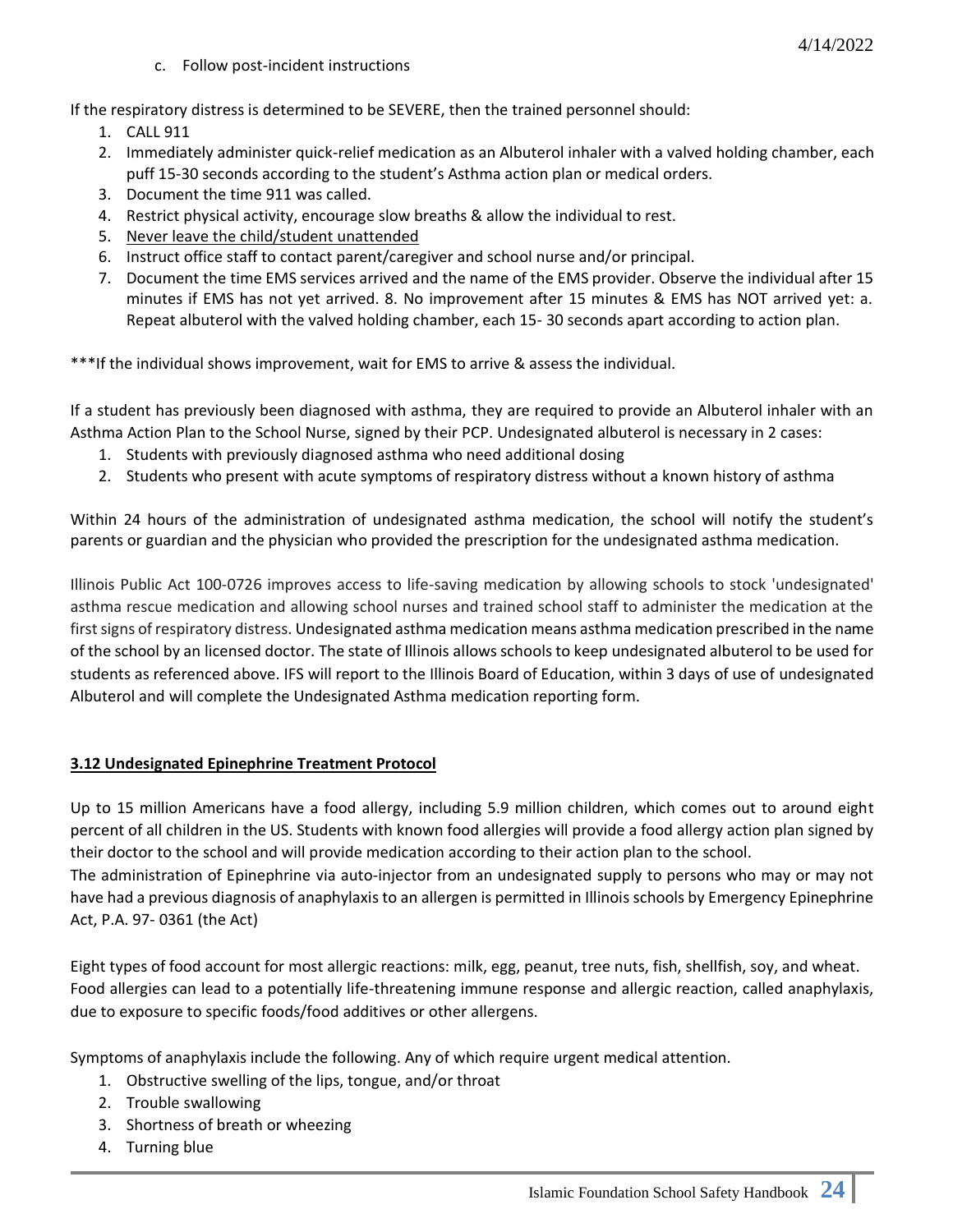c. Follow post-incident instructions

If the respiratory distress is determined to be SEVERE, then the trained personnel should:

- 1. CALL 911
- 2. Immediately administer quick-relief medication as an Albuterol inhaler with a valved holding chamber, each puff 15-30 seconds according to the student's Asthma action plan or medical orders.
- 3. Document the time 911 was called.
- 4. Restrict physical activity, encourage slow breaths & allow the individual to rest.
- 5. Never leave the child/student unattended
- 6. Instruct office staff to contact parent/caregiver and school nurse and/or principal.
- 7. Document the time EMS services arrived and the name of the EMS provider. Observe the individual after 15 minutes if EMS has not yet arrived. 8. No improvement after 15 minutes & EMS has NOT arrived yet: a. Repeat albuterol with the valved holding chamber, each 15- 30 seconds apart according to action plan.

\*\*\*If the individual shows improvement, wait for EMS to arrive & assess the individual.

If a student has previously been diagnosed with asthma, they are required to provide an Albuterol inhaler with an Asthma Action Plan to the School Nurse, signed by their PCP. Undesignated albuterol is necessary in 2 cases:

- 1. Students with previously diagnosed asthma who need additional dosing
- 2. Students who present with acute symptoms of respiratory distress without a known history of asthma

Within 24 hours of the administration of undesignated asthma medication, the school will notify the student's parents or guardian and the physician who provided the prescription for the undesignated asthma medication.

Illinois Public Act 100-0726 improves access to life-saving medication by allowing schools to stock 'undesignated' asthma rescue medication and allowing school nurses and trained school staff to administer the medication at the first signs of respiratory distress. Undesignated asthma medication means asthma medication prescribed in the name of the school by an licensed doctor. The state of Illinois allows schools to keep undesignated albuterol to be used for students as referenced above. IFS will report to the Illinois Board of Education, within 3 days of use of undesignated Albuterol and will complete the Undesignated Asthma medication reporting form.

#### **3.12 Undesignated Epinephrine Treatment Protocol**

Up to 15 million Americans have a food allergy, including 5.9 million children, which comes out to around eight percent of all children in the US. Students with known food allergies will provide a food allergy action plan signed by their doctor to the school and will provide medication according to their action plan to the school. The administration of Epinephrine via auto-injector from an undesignated supply to persons who may or may not have had a previous diagnosis of anaphylaxis to an allergen is permitted in Illinois schools by Emergency Epinephrine

Act, P.A. 97- 0361 (the Act)

Eight types of food account for most allergic reactions: milk, egg, peanut, tree nuts, fish, shellfish, soy, and wheat. Food allergies can lead to a potentially life-threatening immune response and allergic reaction, called anaphylaxis, due to exposure to specific foods/food additives or other allergens.

Symptoms of anaphylaxis include the following. Any of which require urgent medical attention.

- 1. Obstructive swelling of the lips, tongue, and/or throat
- 2. Trouble swallowing
- 3. Shortness of breath or wheezing
- 4. Turning blue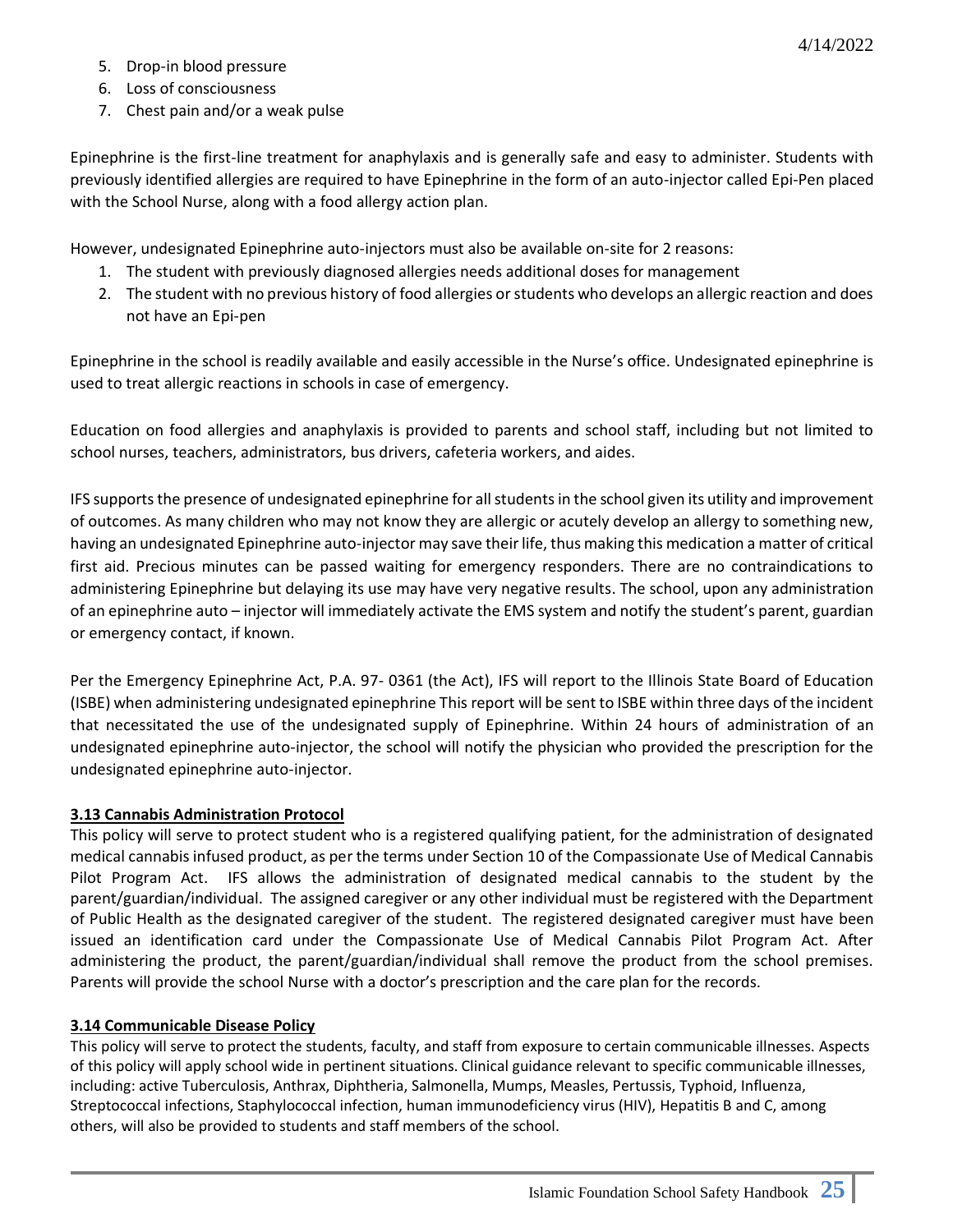- 5. Drop-in blood pressure
- 6. Loss of consciousness
- 7. Chest pain and/or a weak pulse

Epinephrine is the first-line treatment for anaphylaxis and is generally safe and easy to administer. Students with previously identified allergies are required to have Epinephrine in the form of an auto-injector called Epi-Pen placed with the School Nurse, along with a food allergy action plan.

However, undesignated Epinephrine auto-injectors must also be available on-site for 2 reasons:

- 1. The student with previously diagnosed allergies needs additional doses for management
- 2. The student with no previous history of food allergies or students who develops an allergic reaction and does not have an Epi-pen

Epinephrine in the school is readily available and easily accessible in the Nurse's office. Undesignated epinephrine is used to treat allergic reactions in schools in case of emergency.

Education on food allergies and anaphylaxis is provided to parents and school staff, including but not limited to school nurses, teachers, administrators, bus drivers, cafeteria workers, and aides.

IFS supports the presence of undesignated epinephrine for all students in the school given its utility and improvement of outcomes. As many children who may not know they are allergic or acutely develop an allergy to something new, having an undesignated Epinephrine auto-injector may save their life, thus making this medication a matter of critical first aid. Precious minutes can be passed waiting for emergency responders. There are no contraindications to administering Epinephrine but delaying its use may have very negative results. The school, upon any administration of an epinephrine auto – injector will immediately activate the EMS system and notify the student's parent, guardian or emergency contact, if known.

Per the Emergency Epinephrine Act, P.A. 97- 0361 (the Act), IFS will report to the Illinois State Board of Education (ISBE) when administering undesignated epinephrine This report will be sent to ISBE within three days of the incident that necessitated the use of the undesignated supply of Epinephrine. Within 24 hours of administration of an undesignated epinephrine auto-injector, the school will notify the physician who provided the prescription for the undesignated epinephrine auto-injector.

#### **3.13 Cannabis Administration Protocol**

This policy will serve to protect student who is a registered qualifying patient, for the administration of designated medical cannabis infused product, as per the terms under Section 10 of the Compassionate Use of Medical Cannabis Pilot Program Act. IFS allows the administration of designated medical cannabis to the student by the parent/guardian/individual. The assigned caregiver or any other individual must be registered with the Department of Public Health as the designated caregiver of the student. The registered designated caregiver must have been issued an identification card under the Compassionate Use of Medical Cannabis Pilot Program Act. After administering the product, the parent/guardian/individual shall remove the product from the school premises. Parents will provide the school Nurse with a doctor's prescription and the care plan for the records.

#### **3.14 Communicable Disease Policy**

This policy will serve to protect the students, faculty, and staff from exposure to certain communicable illnesses. Aspects of this policy will apply school wide in pertinent situations. Clinical guidance relevant to specific communicable illnesses, including: active Tuberculosis, Anthrax, Diphtheria, Salmonella, Mumps, Measles, Pertussis, Typhoid, Influenza, Streptococcal infections, Staphylococcal infection, human immunodeficiency virus (HIV), Hepatitis B and C, among others, will also be provided to students and staff members of the school.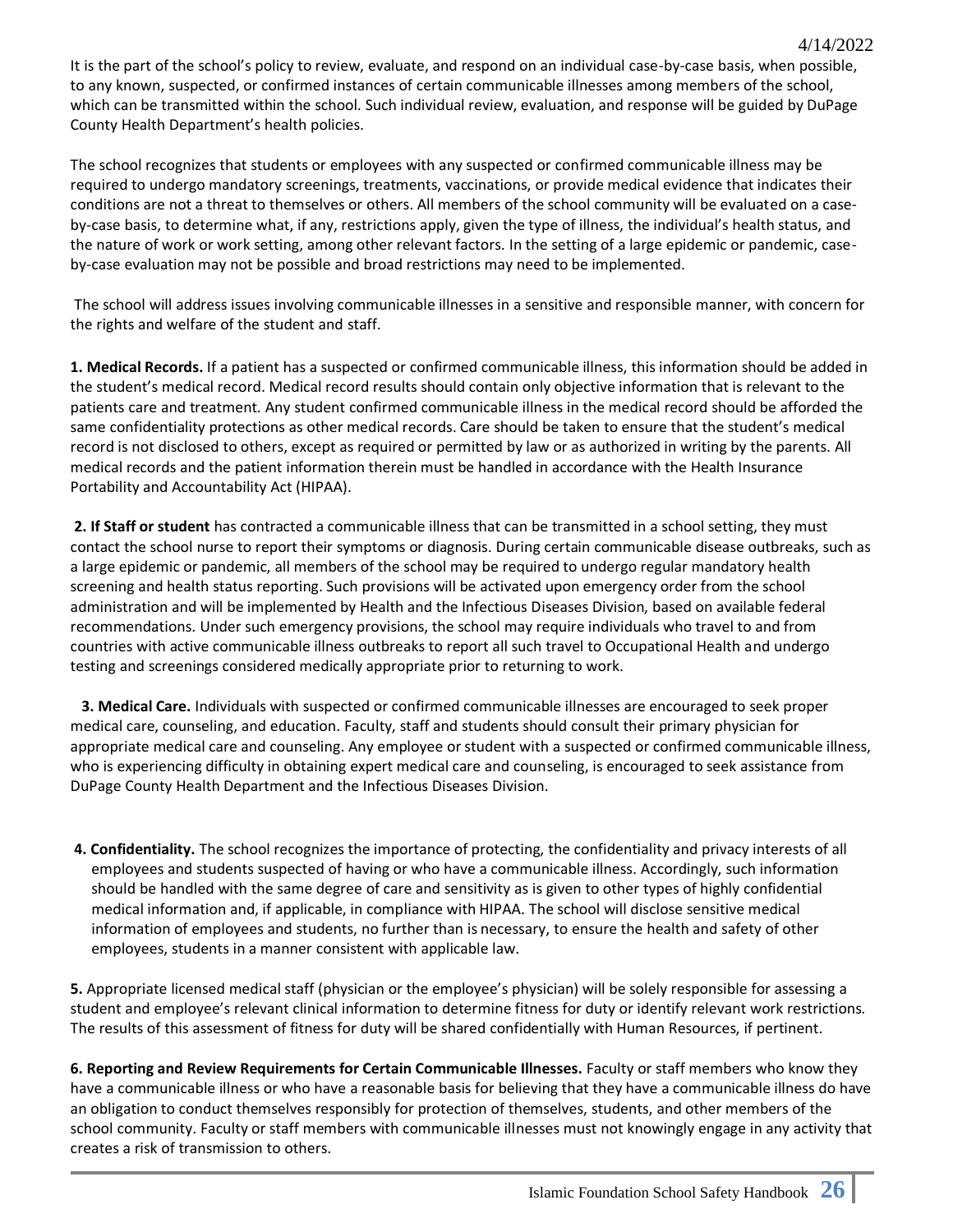It is the part of the school's policy to review, evaluate, and respond on an individual case-by-case basis, when possible, to any known, suspected, or confirmed instances of certain communicable illnesses among members of the school, which can be transmitted within the school. Such individual review, evaluation, and response will be guided by DuPage County Health Department's health policies.

The school recognizes that students or employees with any suspected or confirmed communicable illness may be required to undergo mandatory screenings, treatments, vaccinations, or provide medical evidence that indicates their conditions are not a threat to themselves or others. All members of the school community will be evaluated on a caseby-case basis, to determine what, if any, restrictions apply, given the type of illness, the individual's health status, and the nature of work or work setting, among other relevant factors. In the setting of a large epidemic or pandemic, caseby-case evaluation may not be possible and broad restrictions may need to be implemented.

The school will address issues involving communicable illnesses in a sensitive and responsible manner, with concern for the rights and welfare of the student and staff.

**1. Medical Records.** If a patient has a suspected or confirmed communicable illness, this information should be added in the student's medical record. Medical record results should contain only objective information that is relevant to the patients care and treatment. Any student confirmed communicable illness in the medical record should be afforded the same confidentiality protections as other medical records. Care should be taken to ensure that the student's medical record is not disclosed to others, except as required or permitted by law or as authorized in writing by the parents. All medical records and the patient information therein must be handled in accordance with the Health Insurance Portability and Accountability Act (HIPAA).

**2. If Staff or student** has contracted a communicable illness that can be transmitted in a school setting, they must contact the school nurse to report their symptoms or diagnosis. During certain communicable disease outbreaks, such as a large epidemic or pandemic, all members of the school may be required to undergo regular mandatory health screening and health status reporting. Such provisions will be activated upon emergency order from the school administration and will be implemented by Health and the Infectious Diseases Division, based on available federal recommendations. Under such emergency provisions, the school may require individuals who travel to and from countries with active communicable illness outbreaks to report all such travel to Occupational Health and undergo testing and screenings considered medically appropriate prior to returning to work.

 **3. Medical Care.** Individuals with suspected or confirmed communicable illnesses are encouraged to seek proper medical care, counseling, and education. Faculty, staff and students should consult their primary physician for appropriate medical care and counseling. Any employee or student with a suspected or confirmed communicable illness, who is experiencing difficulty in obtaining expert medical care and counseling, is encouraged to seek assistance from DuPage County Health Department and the Infectious Diseases Division.

**4. Confidentiality.** The school recognizes the importance of protecting, the confidentiality and privacy interests of all employees and students suspected of having or who have a communicable illness. Accordingly, such information should be handled with the same degree of care and sensitivity as is given to other types of highly confidential medical information and, if applicable, in compliance with HIPAA. The school will disclose sensitive medical information of employees and students, no further than is necessary, to ensure the health and safety of other employees, students in a manner consistent with applicable law.

**5.** Appropriate licensed medical staff (physician or the employee's physician) will be solely responsible for assessing a student and employee's relevant clinical information to determine fitness for duty or identify relevant work restrictions. The results of this assessment of fitness for duty will be shared confidentially with Human Resources, if pertinent.

**6. Reporting and Review Requirements for Certain Communicable Illnesses.** Faculty or staff members who know they have a communicable illness or who have a reasonable basis for believing that they have a communicable illness do have an obligation to conduct themselves responsibly for protection of themselves, students, and other members of the school community. Faculty or staff members with communicable illnesses must not knowingly engage in any activity that creates a risk of transmission to others.